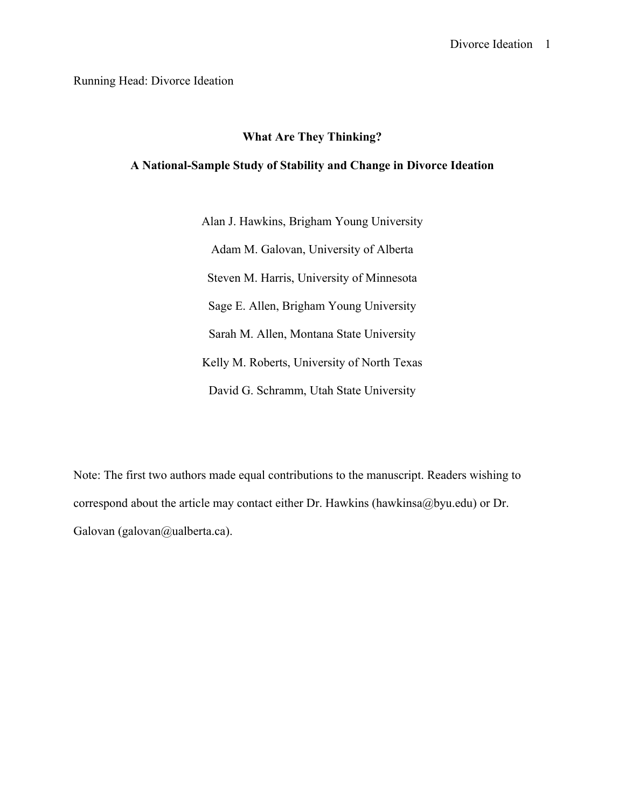Running Head: Divorce Ideation

# **What Are They Thinking?**

## **A National-Sample Study of Stability and Change in Divorce Ideation**

Alan J. Hawkins, Brigham Young University Adam M. Galovan, University of Alberta Steven M. Harris, University of Minnesota Sage E. Allen, Brigham Young University Sarah M. Allen, Montana State University Kelly M. Roberts, University of North Texas David G. Schramm, Utah State University

Note: The first two authors made equal contributions to the manuscript. Readers wishing to correspond about the article may contact either Dr. Hawkins (hawkinsa@byu.edu) or Dr. Galovan (galovan@ualberta.ca).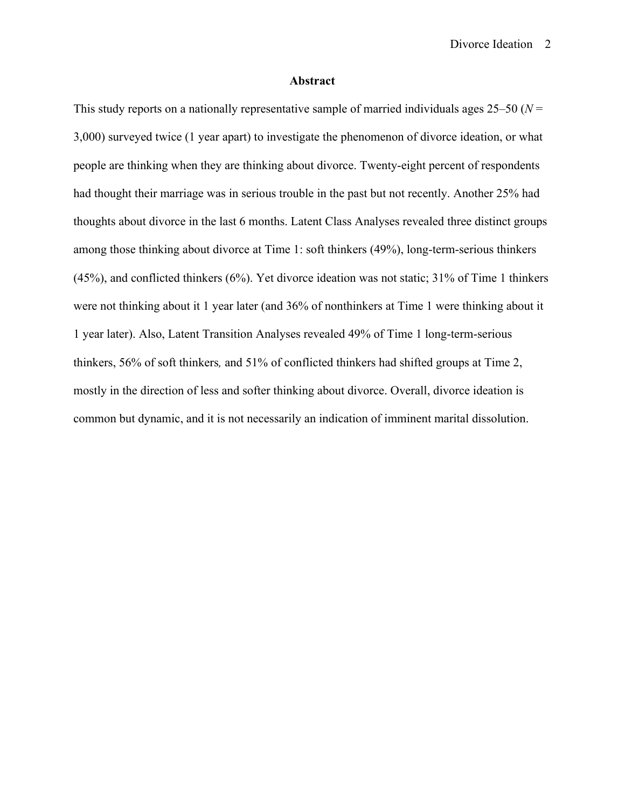#### **Abstract**

This study reports on a nationally representative sample of married individuals ages 25–50 (*N* = 3,000) surveyed twice (1 year apart) to investigate the phenomenon of divorce ideation, or what people are thinking when they are thinking about divorce. Twenty-eight percent of respondents had thought their marriage was in serious trouble in the past but not recently. Another 25% had thoughts about divorce in the last 6 months. Latent Class Analyses revealed three distinct groups among those thinking about divorce at Time 1: soft thinkers (49%), long-term-serious thinkers (45%), and conflicted thinkers (6%). Yet divorce ideation was not static; 31% of Time 1 thinkers were not thinking about it 1 year later (and 36% of nonthinkers at Time 1 were thinking about it 1 year later). Also, Latent Transition Analyses revealed 49% of Time 1 long-term-serious thinkers, 56% of soft thinkers*,* and 51% of conflicted thinkers had shifted groups at Time 2, mostly in the direction of less and softer thinking about divorce. Overall, divorce ideation is common but dynamic, and it is not necessarily an indication of imminent marital dissolution.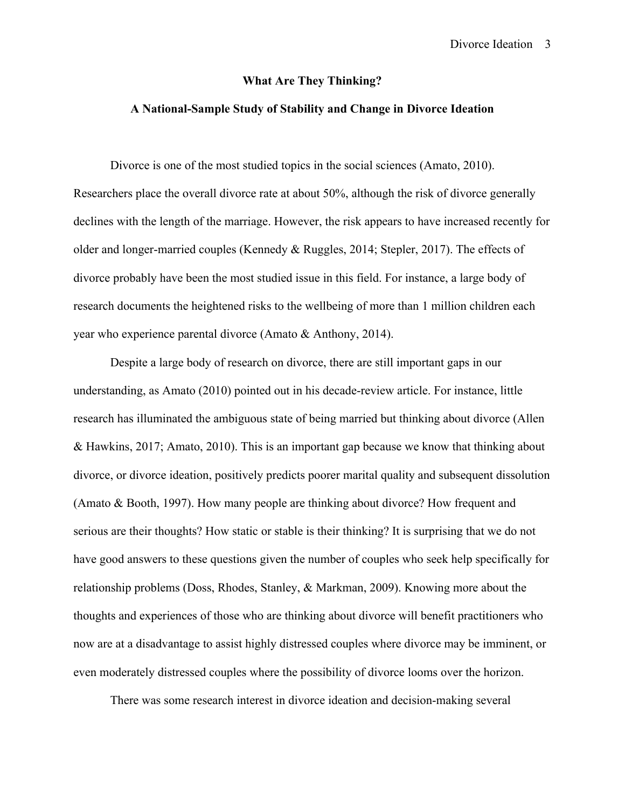### **What Are They Thinking?**

### **A National-Sample Study of Stability and Change in Divorce Ideation**

Divorce is one of the most studied topics in the social sciences (Amato, 2010). Researchers place the overall divorce rate at about 50%, although the risk of divorce generally declines with the length of the marriage. However, the risk appears to have increased recently for older and longer-married couples (Kennedy & Ruggles, 2014; Stepler, 2017). The effects of divorce probably have been the most studied issue in this field. For instance, a large body of research documents the heightened risks to the wellbeing of more than 1 million children each year who experience parental divorce (Amato & Anthony, 2014).

Despite a large body of research on divorce, there are still important gaps in our understanding, as Amato (2010) pointed out in his decade-review article. For instance, little research has illuminated the ambiguous state of being married but thinking about divorce (Allen & Hawkins, 2017; Amato, 2010). This is an important gap because we know that thinking about divorce, or divorce ideation, positively predicts poorer marital quality and subsequent dissolution (Amato & Booth, 1997). How many people are thinking about divorce? How frequent and serious are their thoughts? How static or stable is their thinking? It is surprising that we do not have good answers to these questions given the number of couples who seek help specifically for relationship problems (Doss, Rhodes, Stanley, & Markman, 2009). Knowing more about the thoughts and experiences of those who are thinking about divorce will benefit practitioners who now are at a disadvantage to assist highly distressed couples where divorce may be imminent, or even moderately distressed couples where the possibility of divorce looms over the horizon.

There was some research interest in divorce ideation and decision-making several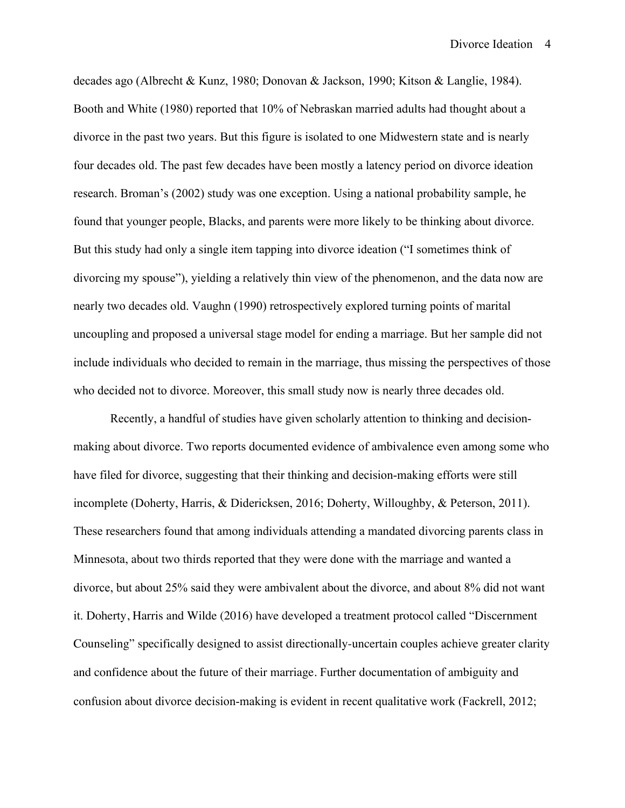decades ago (Albrecht & Kunz, 1980; Donovan & Jackson, 1990; Kitson & Langlie, 1984). Booth and White (1980) reported that 10% of Nebraskan married adults had thought about a divorce in the past two years. But this figure is isolated to one Midwestern state and is nearly four decades old. The past few decades have been mostly a latency period on divorce ideation research. Broman's (2002) study was one exception. Using a national probability sample, he found that younger people, Blacks, and parents were more likely to be thinking about divorce. But this study had only a single item tapping into divorce ideation ("I sometimes think of divorcing my spouse"), yielding a relatively thin view of the phenomenon, and the data now are nearly two decades old. Vaughn (1990) retrospectively explored turning points of marital uncoupling and proposed a universal stage model for ending a marriage. But her sample did not include individuals who decided to remain in the marriage, thus missing the perspectives of those who decided not to divorce. Moreover, this small study now is nearly three decades old.

Recently, a handful of studies have given scholarly attention to thinking and decisionmaking about divorce. Two reports documented evidence of ambivalence even among some who have filed for divorce, suggesting that their thinking and decision-making efforts were still incomplete (Doherty, Harris, & Didericksen, 2016; Doherty, Willoughby, & Peterson, 2011). These researchers found that among individuals attending a mandated divorcing parents class in Minnesota, about two thirds reported that they were done with the marriage and wanted a divorce, but about 25% said they were ambivalent about the divorce, and about 8% did not want it. Doherty, Harris and Wilde (2016) have developed a treatment protocol called "Discernment Counseling" specifically designed to assist directionally-uncertain couples achieve greater clarity and confidence about the future of their marriage. Further documentation of ambiguity and confusion about divorce decision-making is evident in recent qualitative work (Fackrell, 2012;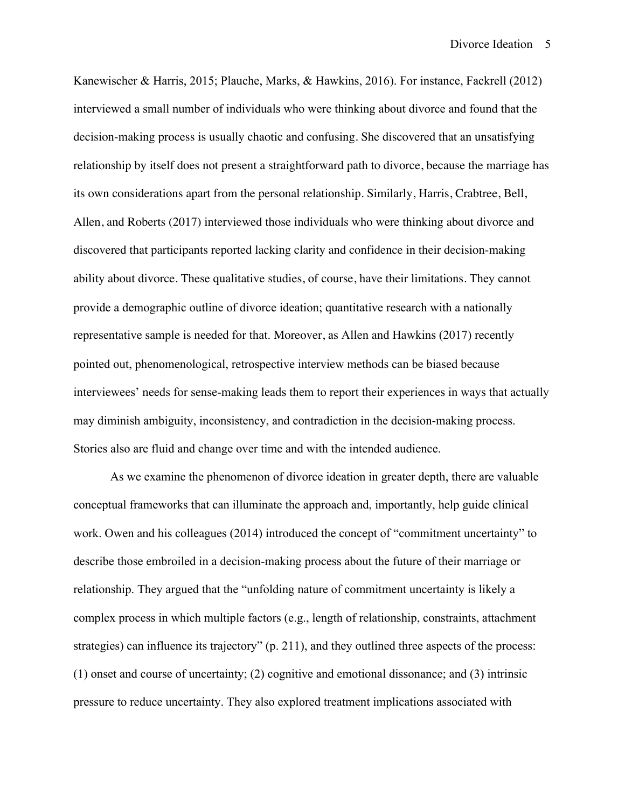Kanewischer & Harris, 2015; Plauche, Marks, & Hawkins, 2016). For instance, Fackrell (2012) interviewed a small number of individuals who were thinking about divorce and found that the decision-making process is usually chaotic and confusing. She discovered that an unsatisfying relationship by itself does not present a straightforward path to divorce, because the marriage has its own considerations apart from the personal relationship. Similarly, Harris, Crabtree, Bell, Allen, and Roberts (2017) interviewed those individuals who were thinking about divorce and discovered that participants reported lacking clarity and confidence in their decision-making ability about divorce. These qualitative studies, of course, have their limitations. They cannot provide a demographic outline of divorce ideation; quantitative research with a nationally representative sample is needed for that. Moreover, as Allen and Hawkins (2017) recently pointed out, phenomenological, retrospective interview methods can be biased because interviewees' needs for sense-making leads them to report their experiences in ways that actually may diminish ambiguity, inconsistency, and contradiction in the decision-making process. Stories also are fluid and change over time and with the intended audience.

As we examine the phenomenon of divorce ideation in greater depth, there are valuable conceptual frameworks that can illuminate the approach and, importantly, help guide clinical work. Owen and his colleagues (2014) introduced the concept of "commitment uncertainty" to describe those embroiled in a decision-making process about the future of their marriage or relationship. They argued that the "unfolding nature of commitment uncertainty is likely a complex process in which multiple factors (e.g., length of relationship, constraints, attachment strategies) can influence its trajectory" (p. 211), and they outlined three aspects of the process: (1) onset and course of uncertainty; (2) cognitive and emotional dissonance; and (3) intrinsic pressure to reduce uncertainty. They also explored treatment implications associated with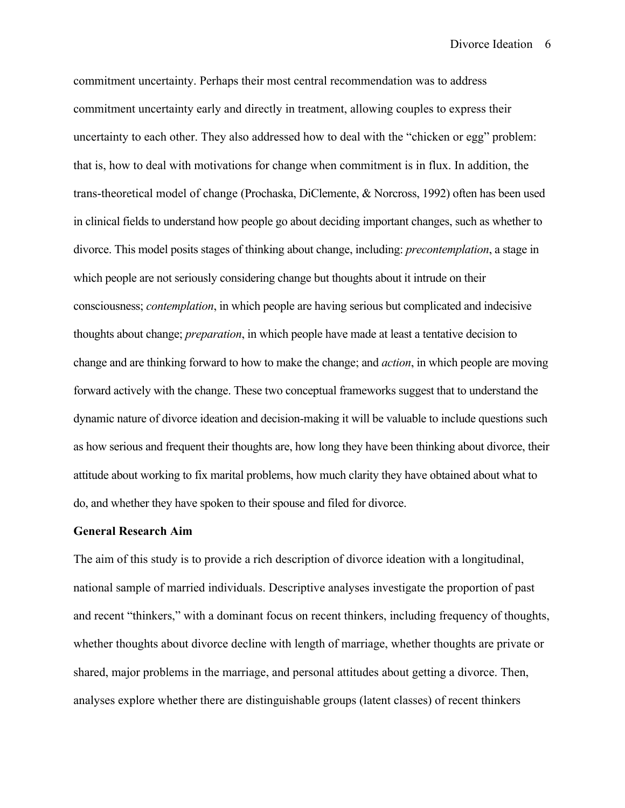commitment uncertainty. Perhaps their most central recommendation was to address commitment uncertainty early and directly in treatment, allowing couples to express their uncertainty to each other. They also addressed how to deal with the "chicken or egg" problem: that is, how to deal with motivations for change when commitment is in flux. In addition, the trans-theoretical model of change (Prochaska, DiClemente, & Norcross, 1992) often has been used in clinical fields to understand how people go about deciding important changes, such as whether to divorce. This model posits stages of thinking about change, including: *precontemplation*, a stage in which people are not seriously considering change but thoughts about it intrude on their consciousness; *contemplation*, in which people are having serious but complicated and indecisive thoughts about change; *preparation*, in which people have made at least a tentative decision to change and are thinking forward to how to make the change; and *action*, in which people are moving forward actively with the change. These two conceptual frameworks suggest that to understand the dynamic nature of divorce ideation and decision-making it will be valuable to include questions such as how serious and frequent their thoughts are, how long they have been thinking about divorce, their attitude about working to fix marital problems, how much clarity they have obtained about what to do, and whether they have spoken to their spouse and filed for divorce.

### **General Research Aim**

The aim of this study is to provide a rich description of divorce ideation with a longitudinal, national sample of married individuals. Descriptive analyses investigate the proportion of past and recent "thinkers," with a dominant focus on recent thinkers, including frequency of thoughts, whether thoughts about divorce decline with length of marriage, whether thoughts are private or shared, major problems in the marriage, and personal attitudes about getting a divorce. Then, analyses explore whether there are distinguishable groups (latent classes) of recent thinkers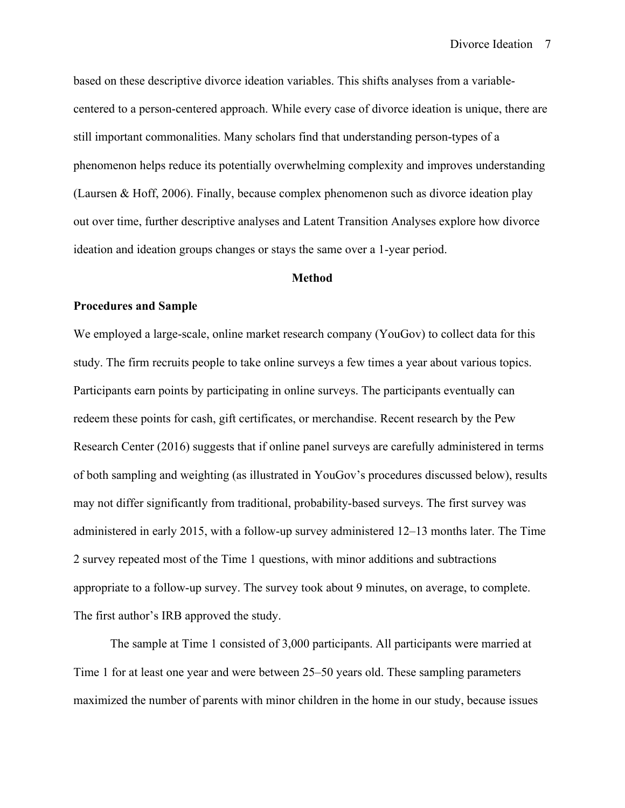based on these descriptive divorce ideation variables. This shifts analyses from a variablecentered to a person-centered approach. While every case of divorce ideation is unique, there are still important commonalities. Many scholars find that understanding person-types of a phenomenon helps reduce its potentially overwhelming complexity and improves understanding (Laursen & Hoff, 2006). Finally, because complex phenomenon such as divorce ideation play out over time, further descriptive analyses and Latent Transition Analyses explore how divorce ideation and ideation groups changes or stays the same over a 1-year period.

### **Method**

### **Procedures and Sample**

We employed a large-scale, online market research company (YouGov) to collect data for this study. The firm recruits people to take online surveys a few times a year about various topics. Participants earn points by participating in online surveys. The participants eventually can redeem these points for cash, gift certificates, or merchandise. Recent research by the Pew Research Center (2016) suggests that if online panel surveys are carefully administered in terms of both sampling and weighting (as illustrated in YouGov's procedures discussed below), results may not differ significantly from traditional, probability-based surveys. The first survey was administered in early 2015, with a follow-up survey administered 12–13 months later. The Time 2 survey repeated most of the Time 1 questions, with minor additions and subtractions appropriate to a follow-up survey. The survey took about 9 minutes, on average, to complete. The first author's IRB approved the study.

The sample at Time 1 consisted of 3,000 participants. All participants were married at Time 1 for at least one year and were between 25–50 years old. These sampling parameters maximized the number of parents with minor children in the home in our study, because issues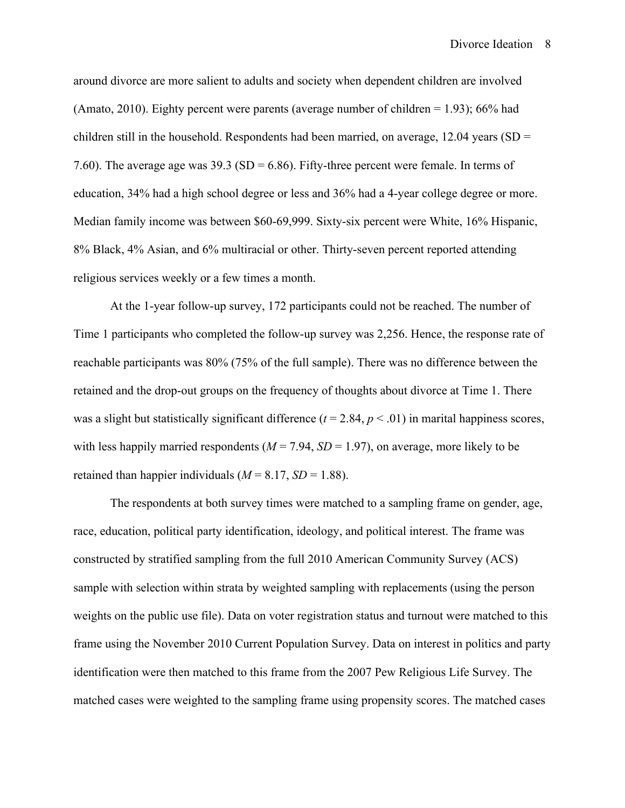around divorce are more salient to adults and society when dependent children are involved (Amato, 2010). Eighty percent were parents (average number of children  $= 1.93$ ); 66% had children still in the household. Respondents had been married, on average, 12.04 years ( $SD =$ 7.60). The average age was  $39.3$  (SD = 6.86). Fifty-three percent were female. In terms of education, 34% had a high school degree or less and 36% had a 4-year college degree or more. Median family income was between \$60-69,999. Sixty-six percent were White, 16% Hispanic, 8% Black, 4% Asian, and 6% multiracial or other. Thirty-seven percent reported attending religious services weekly or a few times a month.

At the 1-year follow-up survey, 172 participants could not be reached. The number of Time 1 participants who completed the follow-up survey was 2,256. Hence, the response rate of reachable participants was 80% (75% of the full sample). There was no difference between the retained and the drop-out groups on the frequency of thoughts about divorce at Time 1. There was a slight but statistically significant difference  $(t = 2.84, p < .01)$  in marital happiness scores, with less happily married respondents  $(M = 7.94, SD = 1.97)$ , on average, more likely to be retained than happier individuals  $(M = 8.17, SD = 1.88)$ .

The respondents at both survey times were matched to a sampling frame on gender, age, race, education, political party identification, ideology, and political interest. The frame was constructed by stratified sampling from the full 2010 American Community Survey (ACS) sample with selection within strata by weighted sampling with replacements (using the person weights on the public use file). Data on voter registration status and turnout were matched to this frame using the November 2010 Current Population Survey. Data on interest in politics and party identification were then matched to this frame from the 2007 Pew Religious Life Survey. The matched cases were weighted to the sampling frame using propensity scores. The matched cases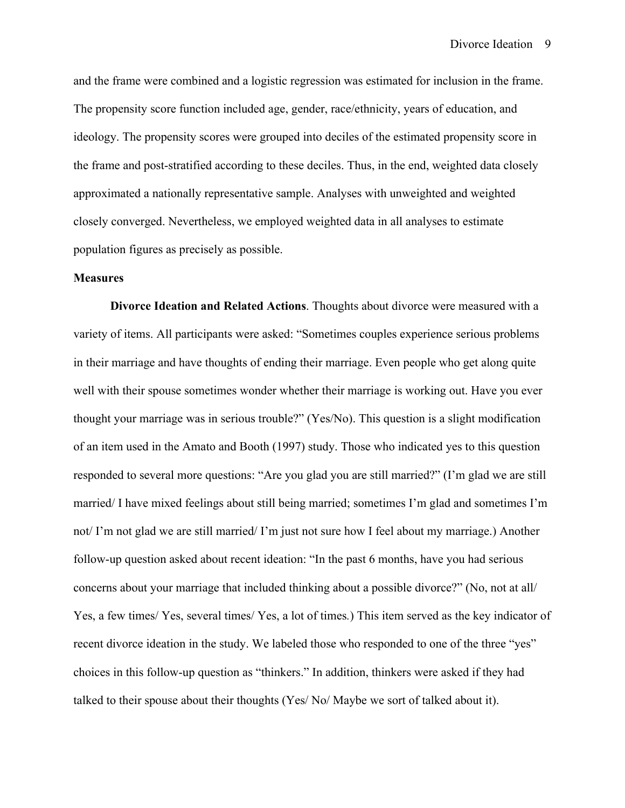and the frame were combined and a logistic regression was estimated for inclusion in the frame. The propensity score function included age, gender, race/ethnicity, years of education, and ideology. The propensity scores were grouped into deciles of the estimated propensity score in the frame and post-stratified according to these deciles. Thus, in the end, weighted data closely approximated a nationally representative sample. Analyses with unweighted and weighted closely converged. Nevertheless, we employed weighted data in all analyses to estimate population figures as precisely as possible.

### **Measures**

**Divorce Ideation and Related Actions**. Thoughts about divorce were measured with a variety of items. All participants were asked: "Sometimes couples experience serious problems in their marriage and have thoughts of ending their marriage. Even people who get along quite well with their spouse sometimes wonder whether their marriage is working out. Have you ever thought your marriage was in serious trouble?" (Yes/No). This question is a slight modification of an item used in the Amato and Booth (1997) study. Those who indicated yes to this question responded to several more questions: "Are you glad you are still married?" (I'm glad we are still married/ I have mixed feelings about still being married; sometimes I'm glad and sometimes I'm not/ I'm not glad we are still married/ I'm just not sure how I feel about my marriage.) Another follow-up question asked about recent ideation: "In the past 6 months, have you had serious concerns about your marriage that included thinking about a possible divorce?" (No, not at all/ Yes, a few times/ Yes, several times/ Yes, a lot of times*.*) This item served as the key indicator of recent divorce ideation in the study. We labeled those who responded to one of the three "yes" choices in this follow-up question as "thinkers." In addition, thinkers were asked if they had talked to their spouse about their thoughts (Yes/ No/ Maybe we sort of talked about it).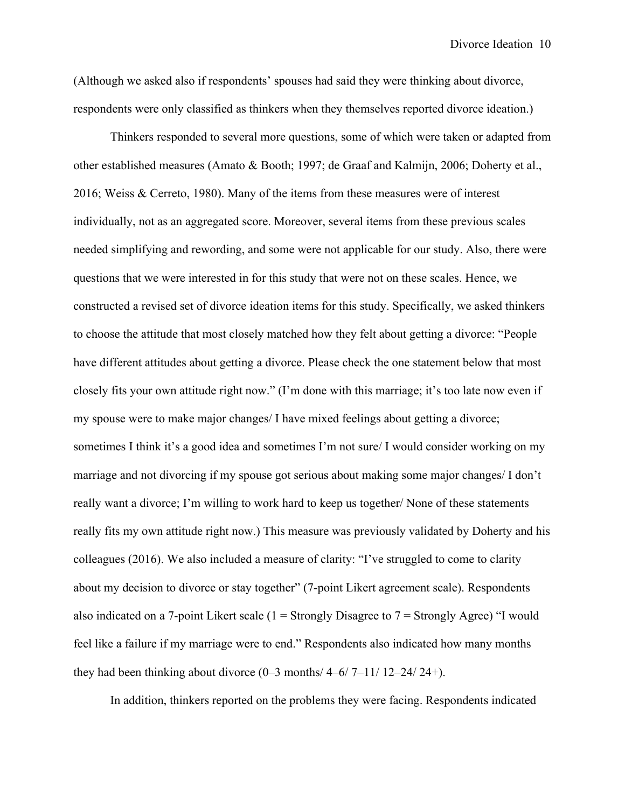(Although we asked also if respondents' spouses had said they were thinking about divorce, respondents were only classified as thinkers when they themselves reported divorce ideation.)

Thinkers responded to several more questions, some of which were taken or adapted from other established measures (Amato & Booth; 1997; de Graaf and Kalmijn, 2006; Doherty et al., 2016; Weiss & Cerreto, 1980). Many of the items from these measures were of interest individually, not as an aggregated score. Moreover, several items from these previous scales needed simplifying and rewording, and some were not applicable for our study. Also, there were questions that we were interested in for this study that were not on these scales. Hence, we constructed a revised set of divorce ideation items for this study. Specifically, we asked thinkers to choose the attitude that most closely matched how they felt about getting a divorce: "People have different attitudes about getting a divorce. Please check the one statement below that most closely fits your own attitude right now." (I'm done with this marriage; it's too late now even if my spouse were to make major changes/ I have mixed feelings about getting a divorce; sometimes I think it's a good idea and sometimes I'm not sure/ I would consider working on my marriage and not divorcing if my spouse got serious about making some major changes/ I don't really want a divorce; I'm willing to work hard to keep us together/ None of these statements really fits my own attitude right now.) This measure was previously validated by Doherty and his colleagues (2016). We also included a measure of clarity: "I've struggled to come to clarity about my decision to divorce or stay together" (7-point Likert agreement scale). Respondents also indicated on a 7-point Likert scale (1 = Strongly Disagree to 7 = Strongly Agree) "I would feel like a failure if my marriage were to end." Respondents also indicated how many months they had been thinking about divorce  $(0-3 \text{ months}/4-6/7-11/12-24/24+)$ .

In addition, thinkers reported on the problems they were facing. Respondents indicated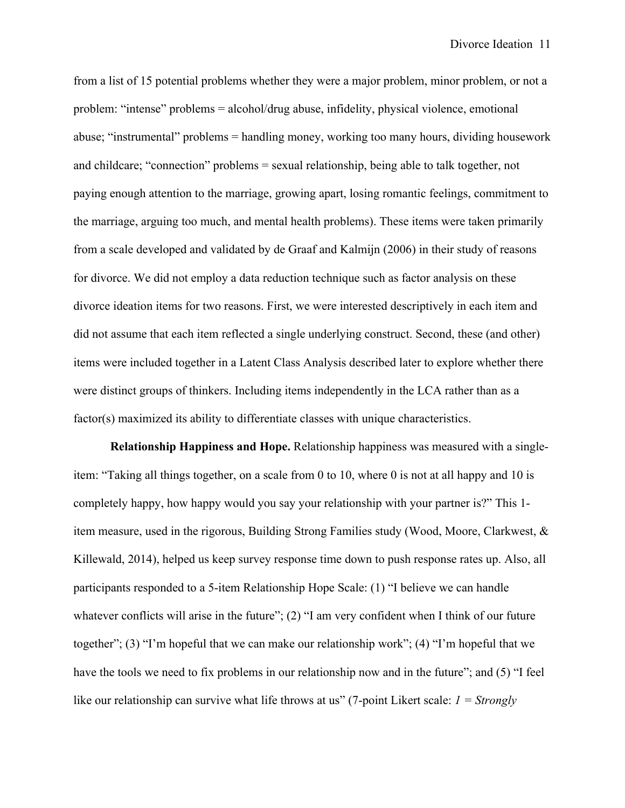from a list of 15 potential problems whether they were a major problem, minor problem, or not a problem: "intense" problems = alcohol/drug abuse, infidelity, physical violence, emotional abuse; "instrumental" problems = handling money, working too many hours, dividing housework and childcare; "connection" problems = sexual relationship, being able to talk together, not paying enough attention to the marriage, growing apart, losing romantic feelings, commitment to the marriage, arguing too much, and mental health problems). These items were taken primarily from a scale developed and validated by de Graaf and Kalmijn (2006) in their study of reasons for divorce. We did not employ a data reduction technique such as factor analysis on these divorce ideation items for two reasons. First, we were interested descriptively in each item and did not assume that each item reflected a single underlying construct. Second, these (and other) items were included together in a Latent Class Analysis described later to explore whether there were distinct groups of thinkers. Including items independently in the LCA rather than as a factor(s) maximized its ability to differentiate classes with unique characteristics.

**Relationship Happiness and Hope.** Relationship happiness was measured with a singleitem: "Taking all things together, on a scale from 0 to 10, where 0 is not at all happy and 10 is completely happy, how happy would you say your relationship with your partner is?" This 1 item measure, used in the rigorous, Building Strong Families study (Wood, Moore, Clarkwest, & Killewald, 2014), helped us keep survey response time down to push response rates up. Also, all participants responded to a 5-item Relationship Hope Scale: (1) "I believe we can handle whatever conflicts will arise in the future"; (2) "I am very confident when I think of our future together"; (3) "I'm hopeful that we can make our relationship work"; (4) "I'm hopeful that we have the tools we need to fix problems in our relationship now and in the future"; and (5) "I feel like our relationship can survive what life throws at us" (7-point Likert scale: *1 = Strongly*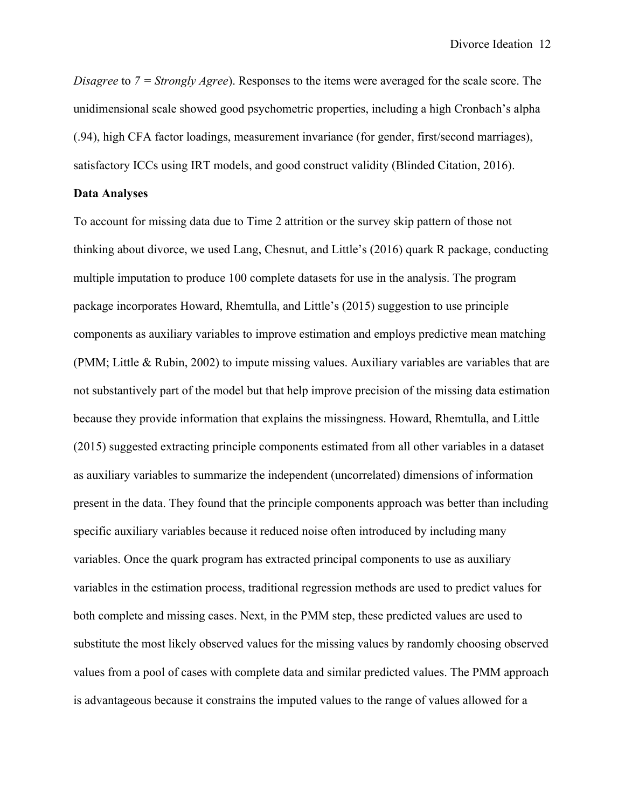*Disagree* to *7 = Strongly Agree*). Responses to the items were averaged for the scale score. The unidimensional scale showed good psychometric properties, including a high Cronbach's alpha (.94), high CFA factor loadings, measurement invariance (for gender, first/second marriages), satisfactory ICCs using IRT models, and good construct validity (Blinded Citation, 2016).

### **Data Analyses**

To account for missing data due to Time 2 attrition or the survey skip pattern of those not thinking about divorce, we used Lang, Chesnut, and Little's (2016) quark R package, conducting multiple imputation to produce 100 complete datasets for use in the analysis. The program package incorporates Howard, Rhemtulla, and Little's (2015) suggestion to use principle components as auxiliary variables to improve estimation and employs predictive mean matching (PMM; Little & Rubin, 2002) to impute missing values. Auxiliary variables are variables that are not substantively part of the model but that help improve precision of the missing data estimation because they provide information that explains the missingness. Howard, Rhemtulla, and Little (2015) suggested extracting principle components estimated from all other variables in a dataset as auxiliary variables to summarize the independent (uncorrelated) dimensions of information present in the data. They found that the principle components approach was better than including specific auxiliary variables because it reduced noise often introduced by including many variables. Once the quark program has extracted principal components to use as auxiliary variables in the estimation process, traditional regression methods are used to predict values for both complete and missing cases. Next, in the PMM step, these predicted values are used to substitute the most likely observed values for the missing values by randomly choosing observed values from a pool of cases with complete data and similar predicted values. The PMM approach is advantageous because it constrains the imputed values to the range of values allowed for a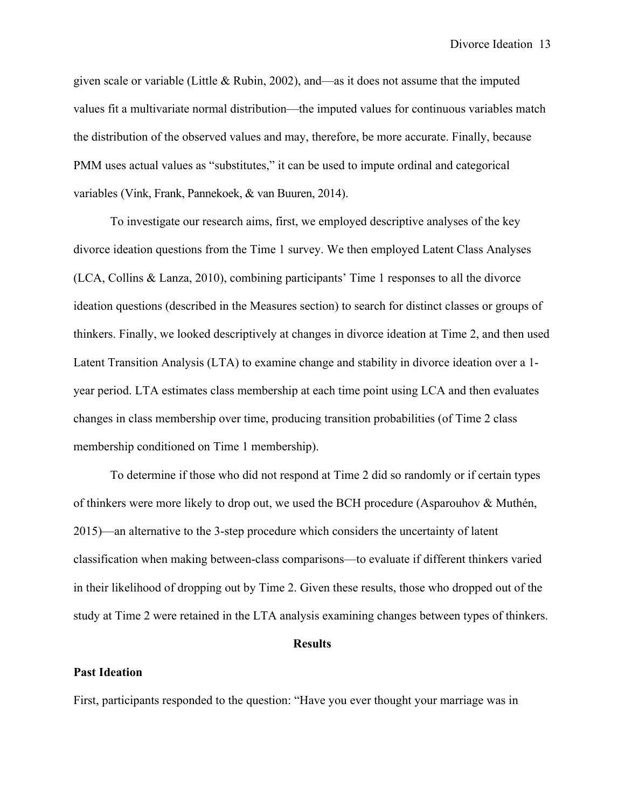given scale or variable (Little  $\&$  Rubin, 2002), and—as it does not assume that the imputed values fit a multivariate normal distribution—the imputed values for continuous variables match the distribution of the observed values and may, therefore, be more accurate. Finally, because PMM uses actual values as "substitutes," it can be used to impute ordinal and categorical variables (Vink, Frank, Pannekoek, & van Buuren, 2014).

To investigate our research aims, first, we employed descriptive analyses of the key divorce ideation questions from the Time 1 survey. We then employed Latent Class Analyses (LCA, Collins & Lanza, 2010), combining participants' Time 1 responses to all the divorce ideation questions (described in the Measures section) to search for distinct classes or groups of thinkers. Finally, we looked descriptively at changes in divorce ideation at Time 2, and then used Latent Transition Analysis (LTA) to examine change and stability in divorce ideation over a 1 year period. LTA estimates class membership at each time point using LCA and then evaluates changes in class membership over time, producing transition probabilities (of Time 2 class membership conditioned on Time 1 membership).

To determine if those who did not respond at Time 2 did so randomly or if certain types of thinkers were more likely to drop out, we used the BCH procedure (Asparouhov & Muthén, 2015)—an alternative to the 3-step procedure which considers the uncertainty of latent classification when making between-class comparisons—to evaluate if different thinkers varied in their likelihood of dropping out by Time 2. Given these results, those who dropped out of the study at Time 2 were retained in the LTA analysis examining changes between types of thinkers.

### **Results**

### **Past Ideation**

First, participants responded to the question: "Have you ever thought your marriage was in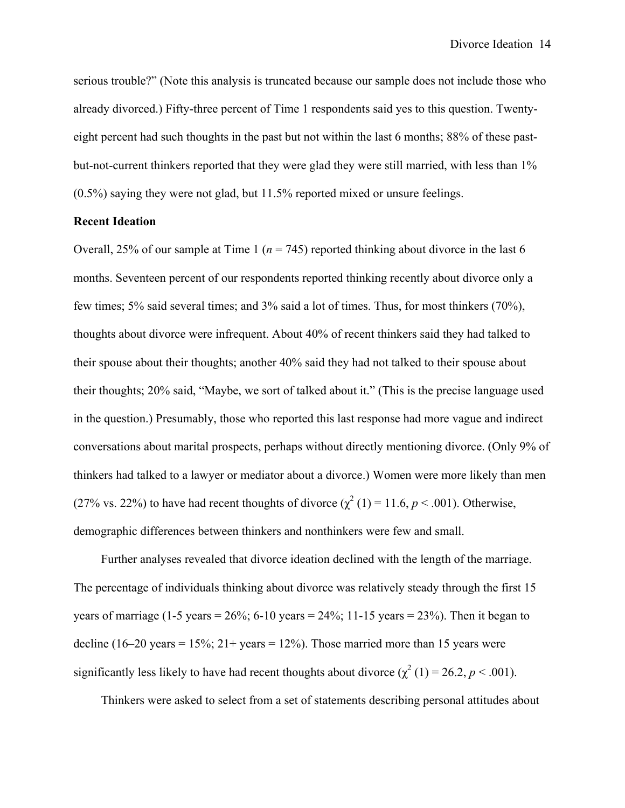serious trouble?" (Note this analysis is truncated because our sample does not include those who already divorced.) Fifty-three percent of Time 1 respondents said yes to this question. Twentyeight percent had such thoughts in the past but not within the last 6 months; 88% of these pastbut-not-current thinkers reported that they were glad they were still married, with less than 1% (0.5%) saying they were not glad, but 11.5% reported mixed or unsure feelings.

### **Recent Ideation**

Overall, 25% of our sample at Time 1 ( $n = 745$ ) reported thinking about divorce in the last 6 months. Seventeen percent of our respondents reported thinking recently about divorce only a few times; 5% said several times; and 3% said a lot of times. Thus, for most thinkers (70%), thoughts about divorce were infrequent. About 40% of recent thinkers said they had talked to their spouse about their thoughts; another 40% said they had not talked to their spouse about their thoughts; 20% said, "Maybe, we sort of talked about it." (This is the precise language used in the question.) Presumably, those who reported this last response had more vague and indirect conversations about marital prospects, perhaps without directly mentioning divorce. (Only 9% of thinkers had talked to a lawyer or mediator about a divorce.) Women were more likely than men (27% vs. 22%) to have had recent thoughts of divorce  $(\chi^2(1) = 11.6, p < .001)$ . Otherwise, demographic differences between thinkers and nonthinkers were few and small.

Further analyses revealed that divorce ideation declined with the length of the marriage. The percentage of individuals thinking about divorce was relatively steady through the first 15 years of marriage (1-5 years =  $26\%$ ; 6-10 years =  $24\%$ ; 11-15 years =  $23\%$ ). Then it began to decline (16–20 years =  $15\%$ ; 21+ years =  $12\%$ ). Those married more than 15 years were significantly less likely to have had recent thoughts about divorce  $(\chi^2(1) = 26.2, p < .001)$ .

Thinkers were asked to select from a set of statements describing personal attitudes about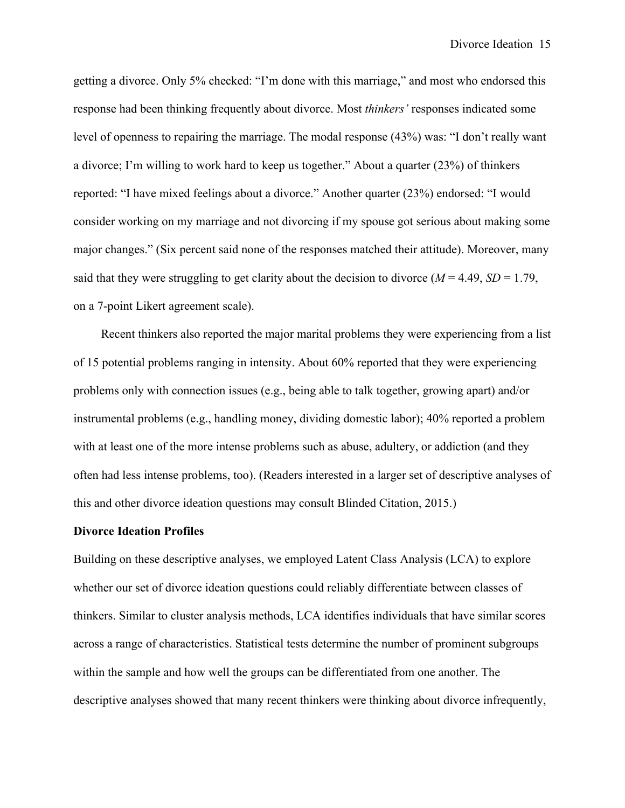getting a divorce. Only 5% checked: "I'm done with this marriage," and most who endorsed this response had been thinking frequently about divorce. Most *thinkers'* responses indicated some level of openness to repairing the marriage. The modal response (43%) was: "I don't really want a divorce; I'm willing to work hard to keep us together." About a quarter (23%) of thinkers reported: "I have mixed feelings about a divorce." Another quarter (23%) endorsed: "I would consider working on my marriage and not divorcing if my spouse got serious about making some major changes." (Six percent said none of the responses matched their attitude). Moreover, many said that they were struggling to get clarity about the decision to divorce  $(M = 4.49, SD = 1.79,$ on a 7-point Likert agreement scale).

Recent thinkers also reported the major marital problems they were experiencing from a list of 15 potential problems ranging in intensity. About 60% reported that they were experiencing problems only with connection issues (e.g., being able to talk together, growing apart) and/or instrumental problems (e.g., handling money, dividing domestic labor); 40% reported a problem with at least one of the more intense problems such as abuse, adultery, or addiction (and they often had less intense problems, too). (Readers interested in a larger set of descriptive analyses of this and other divorce ideation questions may consult Blinded Citation, 2015.)

#### **Divorce Ideation Profiles**

Building on these descriptive analyses, we employed Latent Class Analysis (LCA) to explore whether our set of divorce ideation questions could reliably differentiate between classes of thinkers. Similar to cluster analysis methods, LCA identifies individuals that have similar scores across a range of characteristics. Statistical tests determine the number of prominent subgroups within the sample and how well the groups can be differentiated from one another. The descriptive analyses showed that many recent thinkers were thinking about divorce infrequently,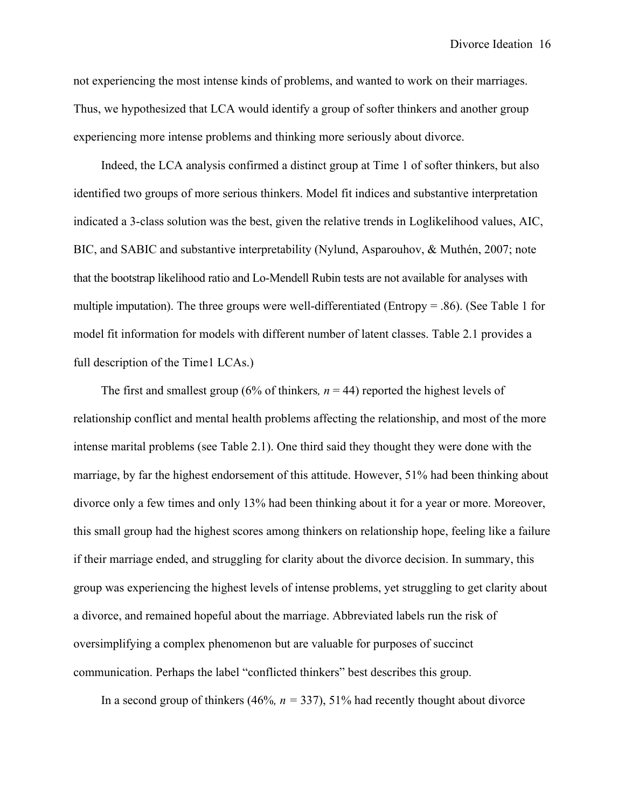Divorce Ideation 16

not experiencing the most intense kinds of problems, and wanted to work on their marriages. Thus, we hypothesized that LCA would identify a group of softer thinkers and another group experiencing more intense problems and thinking more seriously about divorce.

Indeed, the LCA analysis confirmed a distinct group at Time 1 of softer thinkers, but also identified two groups of more serious thinkers. Model fit indices and substantive interpretation indicated a 3-class solution was the best, given the relative trends in Loglikelihood values, AIC, BIC, and SABIC and substantive interpretability (Nylund, Asparouhov, & Muthén, 2007; note that the bootstrap likelihood ratio and Lo-Mendell Rubin tests are not available for analyses with multiple imputation). The three groups were well-differentiated (Entropy = .86). (See Table 1 for model fit information for models with different number of latent classes. Table 2.1 provides a full description of the Time1 LCAs.)

The first and smallest group (6% of thinkers,  $n = 44$ ) reported the highest levels of relationship conflict and mental health problems affecting the relationship, and most of the more intense marital problems (see Table 2.1). One third said they thought they were done with the marriage, by far the highest endorsement of this attitude. However, 51% had been thinking about divorce only a few times and only 13% had been thinking about it for a year or more. Moreover, this small group had the highest scores among thinkers on relationship hope, feeling like a failure if their marriage ended, and struggling for clarity about the divorce decision. In summary, this group was experiencing the highest levels of intense problems, yet struggling to get clarity about a divorce, and remained hopeful about the marriage. Abbreviated labels run the risk of oversimplifying a complex phenomenon but are valuable for purposes of succinct communication. Perhaps the label "conflicted thinkers" best describes this group.

In a second group of thinkers  $(46\%, n = 337)$ , 51% had recently thought about divorce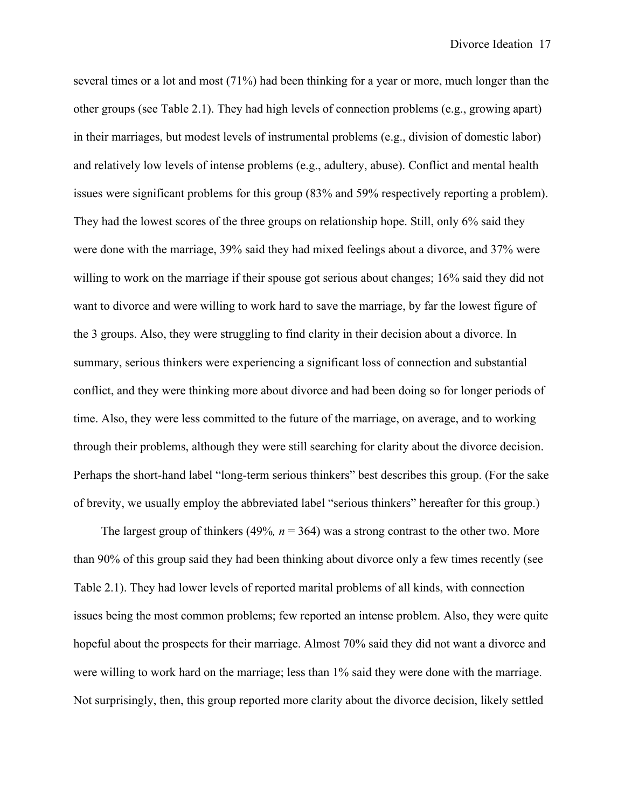several times or a lot and most (71%) had been thinking for a year or more, much longer than the other groups (see Table 2.1). They had high levels of connection problems (e.g., growing apart) in their marriages, but modest levels of instrumental problems (e.g., division of domestic labor) and relatively low levels of intense problems (e.g., adultery, abuse). Conflict and mental health issues were significant problems for this group (83% and 59% respectively reporting a problem). They had the lowest scores of the three groups on relationship hope. Still, only 6% said they were done with the marriage, 39% said they had mixed feelings about a divorce, and 37% were willing to work on the marriage if their spouse got serious about changes; 16% said they did not want to divorce and were willing to work hard to save the marriage, by far the lowest figure of the 3 groups. Also, they were struggling to find clarity in their decision about a divorce. In summary, serious thinkers were experiencing a significant loss of connection and substantial conflict, and they were thinking more about divorce and had been doing so for longer periods of time. Also, they were less committed to the future of the marriage, on average, and to working through their problems, although they were still searching for clarity about the divorce decision. Perhaps the short-hand label "long-term serious thinkers" best describes this group. (For the sake of brevity, we usually employ the abbreviated label "serious thinkers" hereafter for this group.)

The largest group of thinkers (49%,  $n = 364$ ) was a strong contrast to the other two. More than 90% of this group said they had been thinking about divorce only a few times recently (see Table 2.1). They had lower levels of reported marital problems of all kinds, with connection issues being the most common problems; few reported an intense problem. Also, they were quite hopeful about the prospects for their marriage. Almost 70% said they did not want a divorce and were willing to work hard on the marriage; less than 1% said they were done with the marriage. Not surprisingly, then, this group reported more clarity about the divorce decision, likely settled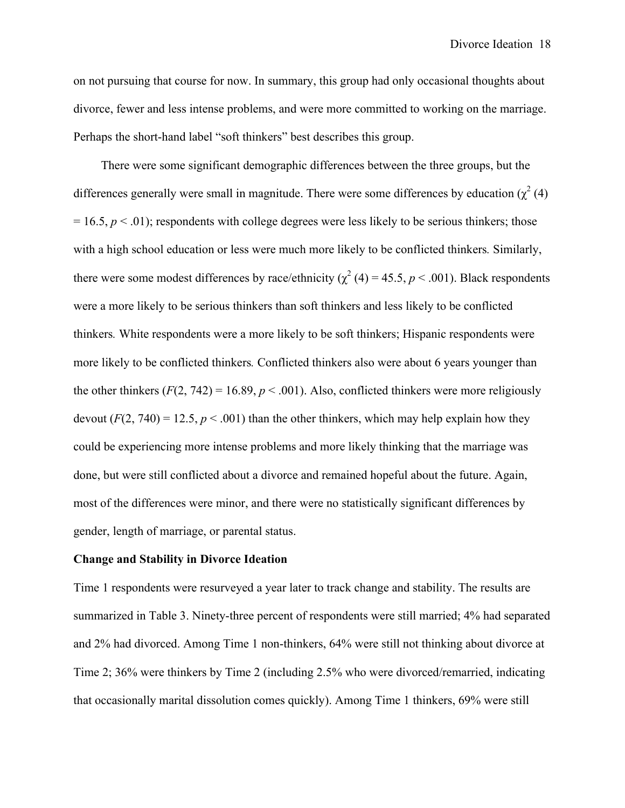on not pursuing that course for now. In summary, this group had only occasional thoughts about divorce, fewer and less intense problems, and were more committed to working on the marriage. Perhaps the short-hand label "soft thinkers" best describes this group.

There were some significant demographic differences between the three groups, but the differences generally were small in magnitude. There were some differences by education  $\chi^2$  (4)  $= 16.5, p \le 0.01$ ; respondents with college degrees were less likely to be serious thinkers; those with a high school education or less were much more likely to be conflicted thinkers*.* Similarly, there were some modest differences by race/ethnicity ( $\chi^2$  (4) = 45.5, *p* < .001). Black respondents were a more likely to be serious thinkers than soft thinkers and less likely to be conflicted thinkers*.* White respondents were a more likely to be soft thinkers; Hispanic respondents were more likely to be conflicted thinkers*.* Conflicted thinkers also were about 6 years younger than the other thinkers  $(F(2, 742) = 16.89, p < .001)$ . Also, conflicted thinkers were more religiously devout  $(F(2, 740) = 12.5, p < .001)$  than the other thinkers, which may help explain how they could be experiencing more intense problems and more likely thinking that the marriage was done, but were still conflicted about a divorce and remained hopeful about the future. Again, most of the differences were minor, and there were no statistically significant differences by gender, length of marriage, or parental status.

### **Change and Stability in Divorce Ideation**

Time 1 respondents were resurveyed a year later to track change and stability. The results are summarized in Table 3. Ninety-three percent of respondents were still married; 4% had separated and 2% had divorced. Among Time 1 non-thinkers, 64% were still not thinking about divorce at Time 2; 36% were thinkers by Time 2 (including 2.5% who were divorced/remarried, indicating that occasionally marital dissolution comes quickly). Among Time 1 thinkers, 69% were still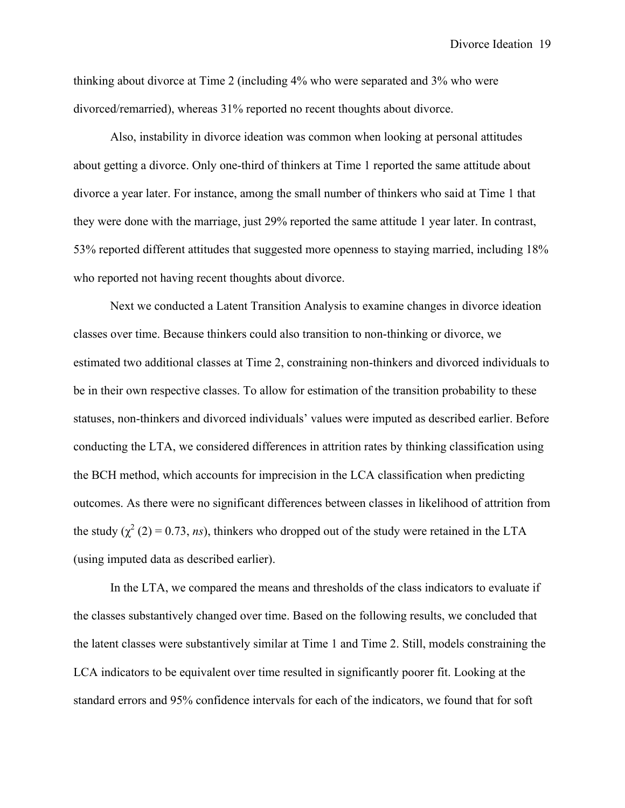thinking about divorce at Time 2 (including 4% who were separated and 3% who were divorced/remarried), whereas 31% reported no recent thoughts about divorce.

Also, instability in divorce ideation was common when looking at personal attitudes about getting a divorce. Only one-third of thinkers at Time 1 reported the same attitude about divorce a year later. For instance, among the small number of thinkers who said at Time 1 that they were done with the marriage, just 29% reported the same attitude 1 year later. In contrast, 53% reported different attitudes that suggested more openness to staying married, including 18% who reported not having recent thoughts about divorce.

Next we conducted a Latent Transition Analysis to examine changes in divorce ideation classes over time. Because thinkers could also transition to non-thinking or divorce, we estimated two additional classes at Time 2, constraining non-thinkers and divorced individuals to be in their own respective classes. To allow for estimation of the transition probability to these statuses, non-thinkers and divorced individuals' values were imputed as described earlier. Before conducting the LTA, we considered differences in attrition rates by thinking classification using the BCH method, which accounts for imprecision in the LCA classification when predicting outcomes. As there were no significant differences between classes in likelihood of attrition from the study  $(\chi^2(2) = 0.73, ns)$ , thinkers who dropped out of the study were retained in the LTA (using imputed data as described earlier).

In the LTA, we compared the means and thresholds of the class indicators to evaluate if the classes substantively changed over time. Based on the following results, we concluded that the latent classes were substantively similar at Time 1 and Time 2. Still, models constraining the LCA indicators to be equivalent over time resulted in significantly poorer fit. Looking at the standard errors and 95% confidence intervals for each of the indicators, we found that for soft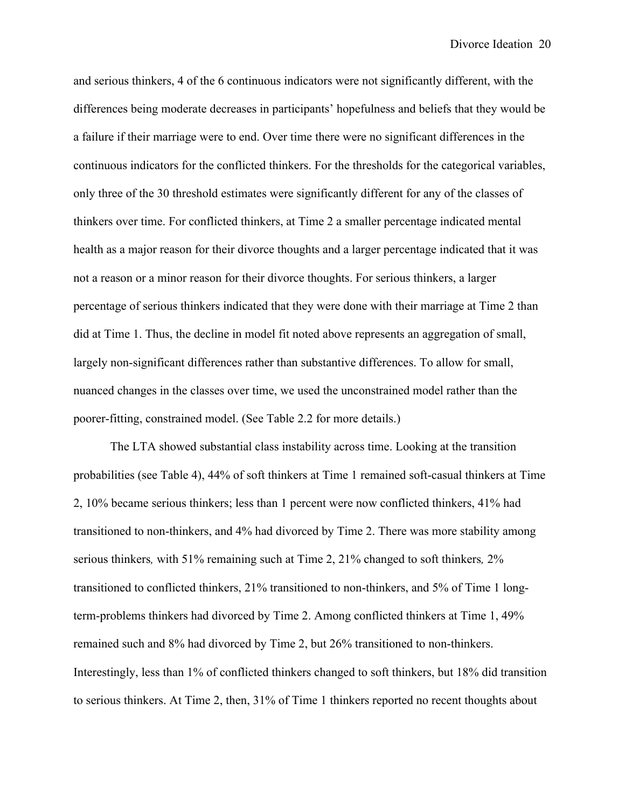and serious thinkers, 4 of the 6 continuous indicators were not significantly different, with the differences being moderate decreases in participants' hopefulness and beliefs that they would be a failure if their marriage were to end. Over time there were no significant differences in the continuous indicators for the conflicted thinkers. For the thresholds for the categorical variables, only three of the 30 threshold estimates were significantly different for any of the classes of thinkers over time. For conflicted thinkers, at Time 2 a smaller percentage indicated mental health as a major reason for their divorce thoughts and a larger percentage indicated that it was not a reason or a minor reason for their divorce thoughts. For serious thinkers, a larger percentage of serious thinkers indicated that they were done with their marriage at Time 2 than did at Time 1. Thus, the decline in model fit noted above represents an aggregation of small, largely non-significant differences rather than substantive differences. To allow for small, nuanced changes in the classes over time, we used the unconstrained model rather than the poorer-fitting, constrained model. (See Table 2.2 for more details.)

The LTA showed substantial class instability across time. Looking at the transition probabilities (see Table 4), 44% of soft thinkers at Time 1 remained soft-casual thinkers at Time 2, 10% became serious thinkers; less than 1 percent were now conflicted thinkers, 41% had transitioned to non-thinkers, and 4% had divorced by Time 2. There was more stability among serious thinkers*,* with 51% remaining such at Time 2, 21% changed to soft thinkers*,* 2% transitioned to conflicted thinkers, 21% transitioned to non-thinkers, and 5% of Time 1 longterm-problems thinkers had divorced by Time 2. Among conflicted thinkers at Time 1, 49% remained such and 8% had divorced by Time 2, but 26% transitioned to non-thinkers. Interestingly, less than 1% of conflicted thinkers changed to soft thinkers, but 18% did transition to serious thinkers. At Time 2, then, 31% of Time 1 thinkers reported no recent thoughts about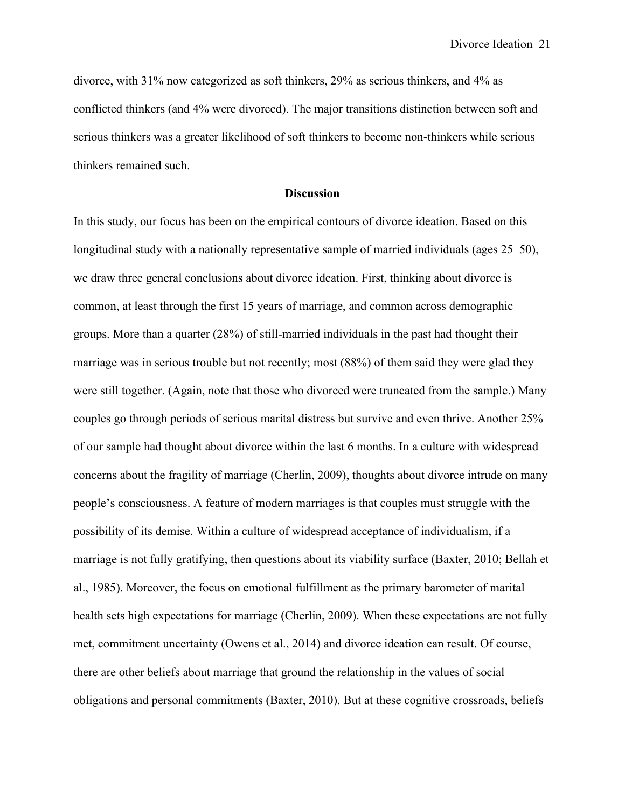divorce, with 31% now categorized as soft thinkers, 29% as serious thinkers, and 4% as conflicted thinkers (and 4% were divorced). The major transitions distinction between soft and serious thinkers was a greater likelihood of soft thinkers to become non-thinkers while serious thinkers remained such.

#### **Discussion**

In this study, our focus has been on the empirical contours of divorce ideation. Based on this longitudinal study with a nationally representative sample of married individuals (ages 25–50), we draw three general conclusions about divorce ideation. First, thinking about divorce is common, at least through the first 15 years of marriage, and common across demographic groups. More than a quarter (28%) of still-married individuals in the past had thought their marriage was in serious trouble but not recently; most (88%) of them said they were glad they were still together. (Again, note that those who divorced were truncated from the sample.) Many couples go through periods of serious marital distress but survive and even thrive. Another 25% of our sample had thought about divorce within the last 6 months. In a culture with widespread concerns about the fragility of marriage (Cherlin, 2009), thoughts about divorce intrude on many people's consciousness. A feature of modern marriages is that couples must struggle with the possibility of its demise. Within a culture of widespread acceptance of individualism, if a marriage is not fully gratifying, then questions about its viability surface (Baxter, 2010; Bellah et al., 1985). Moreover, the focus on emotional fulfillment as the primary barometer of marital health sets high expectations for marriage (Cherlin, 2009). When these expectations are not fully met, commitment uncertainty (Owens et al., 2014) and divorce ideation can result. Of course, there are other beliefs about marriage that ground the relationship in the values of social obligations and personal commitments (Baxter, 2010). But at these cognitive crossroads, beliefs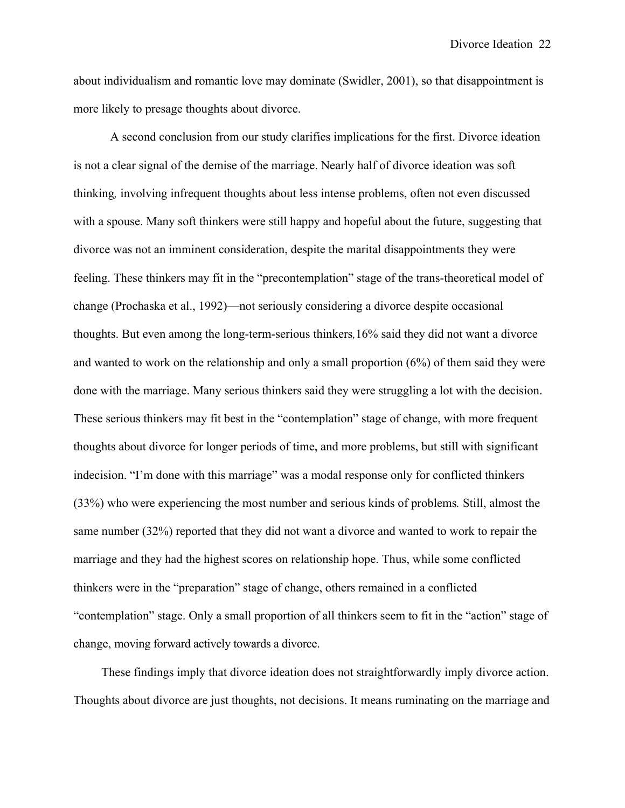about individualism and romantic love may dominate (Swidler, 2001), so that disappointment is more likely to presage thoughts about divorce.

A second conclusion from our study clarifies implications for the first. Divorce ideation is not a clear signal of the demise of the marriage. Nearly half of divorce ideation was soft thinking*,* involving infrequent thoughts about less intense problems, often not even discussed with a spouse. Many soft thinkers were still happy and hopeful about the future, suggesting that divorce was not an imminent consideration, despite the marital disappointments they were feeling. These thinkers may fit in the "precontemplation" stage of the trans-theoretical model of change (Prochaska et al., 1992)—not seriously considering a divorce despite occasional thoughts. But even among the long-term-serious thinkers*,*16% said they did not want a divorce and wanted to work on the relationship and only a small proportion (6%) of them said they were done with the marriage. Many serious thinkers said they were struggling a lot with the decision. These serious thinkers may fit best in the "contemplation" stage of change, with more frequent thoughts about divorce for longer periods of time, and more problems, but still with significant indecision. "I'm done with this marriage" was a modal response only for conflicted thinkers (33%) who were experiencing the most number and serious kinds of problems*.* Still, almost the same number (32%) reported that they did not want a divorce and wanted to work to repair the marriage and they had the highest scores on relationship hope. Thus, while some conflicted thinkers were in the "preparation" stage of change, others remained in a conflicted "contemplation" stage. Only a small proportion of all thinkers seem to fit in the "action" stage of change, moving forward actively towards a divorce.

These findings imply that divorce ideation does not straightforwardly imply divorce action. Thoughts about divorce are just thoughts, not decisions. It means ruminating on the marriage and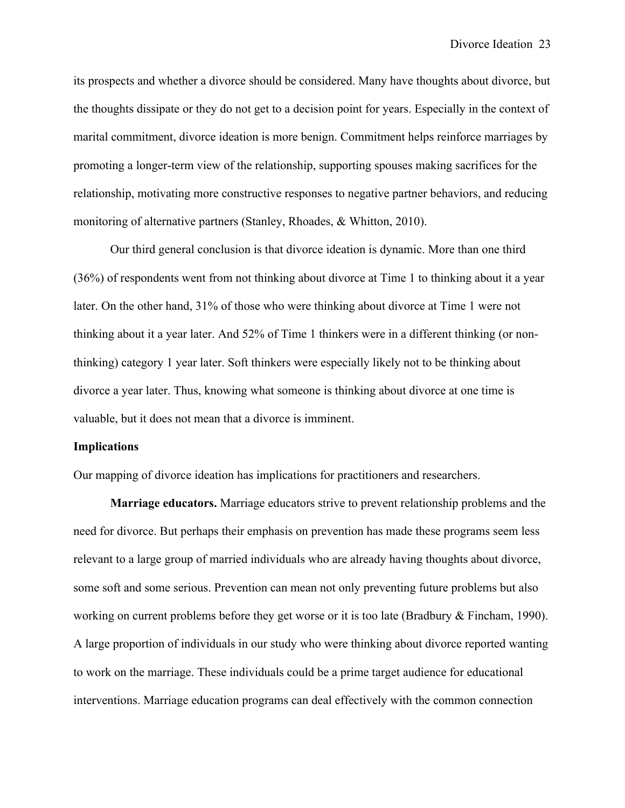its prospects and whether a divorce should be considered. Many have thoughts about divorce, but the thoughts dissipate or they do not get to a decision point for years. Especially in the context of marital commitment, divorce ideation is more benign. Commitment helps reinforce marriages by promoting a longer-term view of the relationship, supporting spouses making sacrifices for the relationship, motivating more constructive responses to negative partner behaviors, and reducing monitoring of alternative partners (Stanley, Rhoades, & Whitton, 2010).

Our third general conclusion is that divorce ideation is dynamic. More than one third (36%) of respondents went from not thinking about divorce at Time 1 to thinking about it a year later. On the other hand, 31% of those who were thinking about divorce at Time 1 were not thinking about it a year later. And 52% of Time 1 thinkers were in a different thinking (or nonthinking) category 1 year later. Soft thinkers were especially likely not to be thinking about divorce a year later. Thus, knowing what someone is thinking about divorce at one time is valuable, but it does not mean that a divorce is imminent.

### **Implications**

Our mapping of divorce ideation has implications for practitioners and researchers.

**Marriage educators.** Marriage educators strive to prevent relationship problems and the need for divorce. But perhaps their emphasis on prevention has made these programs seem less relevant to a large group of married individuals who are already having thoughts about divorce, some soft and some serious. Prevention can mean not only preventing future problems but also working on current problems before they get worse or it is too late (Bradbury & Fincham, 1990). A large proportion of individuals in our study who were thinking about divorce reported wanting to work on the marriage. These individuals could be a prime target audience for educational interventions. Marriage education programs can deal effectively with the common connection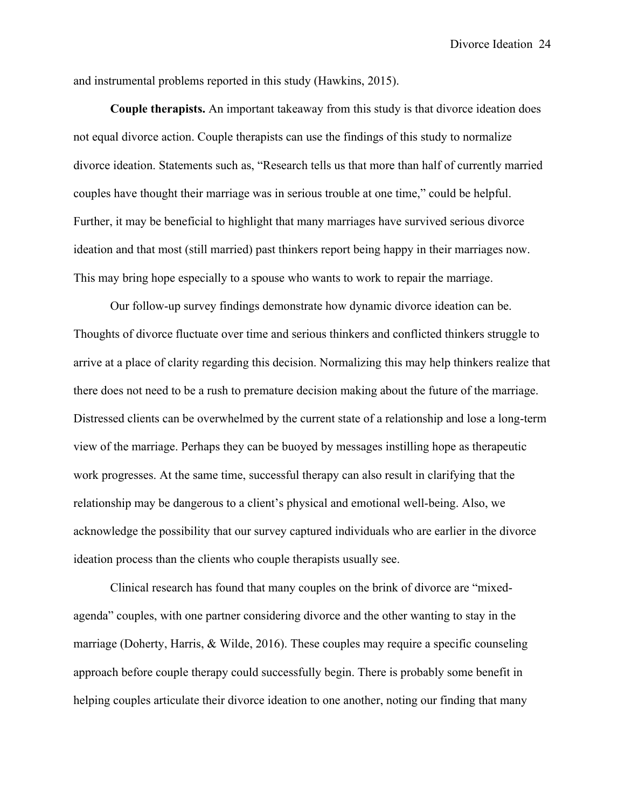and instrumental problems reported in this study (Hawkins, 2015).

**Couple therapists.** An important takeaway from this study is that divorce ideation does not equal divorce action. Couple therapists can use the findings of this study to normalize divorce ideation. Statements such as, "Research tells us that more than half of currently married couples have thought their marriage was in serious trouble at one time," could be helpful. Further, it may be beneficial to highlight that many marriages have survived serious divorce ideation and that most (still married) past thinkers report being happy in their marriages now. This may bring hope especially to a spouse who wants to work to repair the marriage.

Our follow-up survey findings demonstrate how dynamic divorce ideation can be. Thoughts of divorce fluctuate over time and serious thinkers and conflicted thinkers struggle to arrive at a place of clarity regarding this decision. Normalizing this may help thinkers realize that there does not need to be a rush to premature decision making about the future of the marriage. Distressed clients can be overwhelmed by the current state of a relationship and lose a long-term view of the marriage. Perhaps they can be buoyed by messages instilling hope as therapeutic work progresses. At the same time, successful therapy can also result in clarifying that the relationship may be dangerous to a client's physical and emotional well-being. Also, we acknowledge the possibility that our survey captured individuals who are earlier in the divorce ideation process than the clients who couple therapists usually see.

Clinical research has found that many couples on the brink of divorce are "mixedagenda" couples, with one partner considering divorce and the other wanting to stay in the marriage (Doherty, Harris, & Wilde, 2016). These couples may require a specific counseling approach before couple therapy could successfully begin. There is probably some benefit in helping couples articulate their divorce ideation to one another, noting our finding that many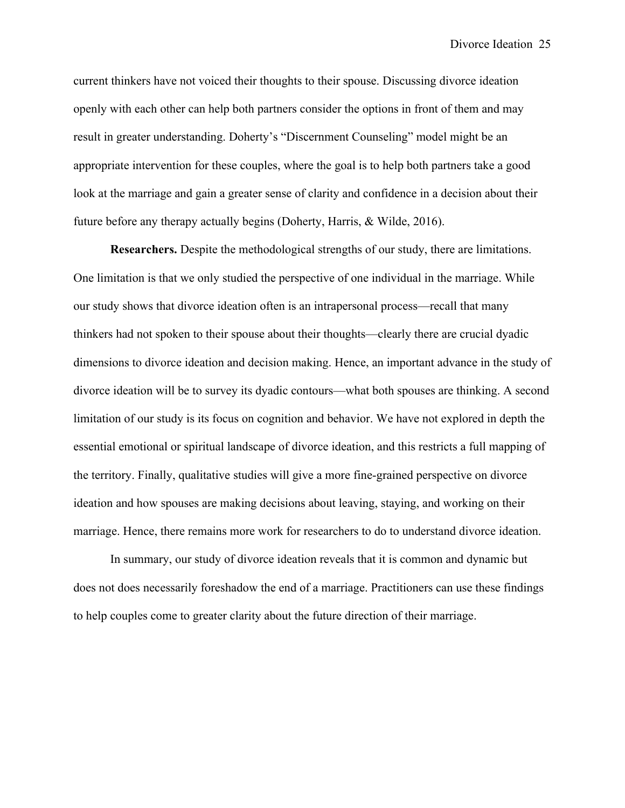current thinkers have not voiced their thoughts to their spouse. Discussing divorce ideation openly with each other can help both partners consider the options in front of them and may result in greater understanding. Doherty's "Discernment Counseling" model might be an appropriate intervention for these couples, where the goal is to help both partners take a good look at the marriage and gain a greater sense of clarity and confidence in a decision about their future before any therapy actually begins (Doherty, Harris, & Wilde, 2016).

**Researchers.** Despite the methodological strengths of our study, there are limitations. One limitation is that we only studied the perspective of one individual in the marriage. While our study shows that divorce ideation often is an intrapersonal process—recall that many thinkers had not spoken to their spouse about their thoughts—clearly there are crucial dyadic dimensions to divorce ideation and decision making. Hence, an important advance in the study of divorce ideation will be to survey its dyadic contours—what both spouses are thinking. A second limitation of our study is its focus on cognition and behavior. We have not explored in depth the essential emotional or spiritual landscape of divorce ideation, and this restricts a full mapping of the territory. Finally, qualitative studies will give a more fine-grained perspective on divorce ideation and how spouses are making decisions about leaving, staying, and working on their marriage. Hence, there remains more work for researchers to do to understand divorce ideation.

In summary, our study of divorce ideation reveals that it is common and dynamic but does not does necessarily foreshadow the end of a marriage. Practitioners can use these findings to help couples come to greater clarity about the future direction of their marriage.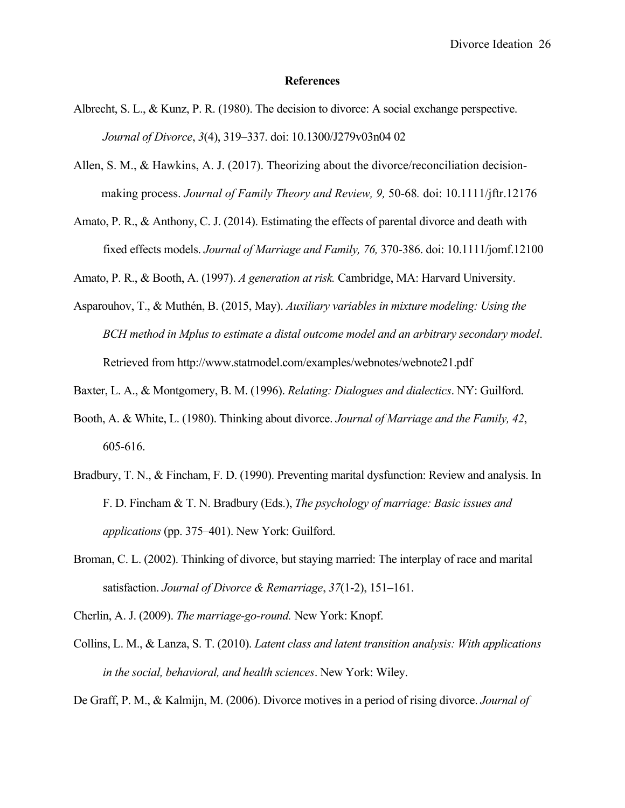#### **References**

- Albrecht, S. L., & Kunz, P. R. (1980). The decision to divorce: A social exchange perspective. *Journal of Divorce*, *3*(4), 319–337. doi: 10.1300/J279v03n04 02
- Allen, S. M., & Hawkins, A. J. (2017). Theorizing about the divorce/reconciliation decisionmaking process. *Journal of Family Theory and Review, 9,* 50-68*.* doi: 10.1111/jftr.12176
- Amato, P. R., & Anthony, C. J. (2014). Estimating the effects of parental divorce and death with fixed effects models. *Journal of Marriage and Family, 76,* 370-386. doi: 10.1111/jomf.12100

Amato, P. R., & Booth, A. (1997). *A generation at risk.* Cambridge, MA: Harvard University.

Asparouhov, T., & Muthén, B. (2015, May). *Auxiliary variables in mixture modeling: Using the BCH method in Mplus to estimate a distal outcome model and an arbitrary secondary model*. Retrieved from http://www.statmodel.com/examples/webnotes/webnote21.pdf

Baxter, L. A., & Montgomery, B. M. (1996). *Relating: Dialogues and dialectics*. NY: Guilford.

- Booth, A. & White, L. (1980). Thinking about divorce. *Journal of Marriage and the Family, 42*, 605-616.
- Bradbury, T. N., & Fincham, F. D. (1990). Preventing marital dysfunction: Review and analysis. In F. D. Fincham & T. N. Bradbury (Eds.), *The psychology of marriage: Basic issues and applications* (pp. 375–401). New York: Guilford.
- Broman, C. L. (2002). Thinking of divorce, but staying married: The interplay of race and marital satisfaction. *Journal of Divorce & Remarriage*, *37*(1-2), 151–161.

Cherlin, A. J. (2009). *The marriage-go-round.* New York: Knopf.

Collins, L. M., & Lanza, S. T. (2010). *Latent class and latent transition analysis: With applications in the social, behavioral, and health sciences*. New York: Wiley.

De Graff, P. M., & Kalmijn, M. (2006). Divorce motives in a period of rising divorce. *Journal of*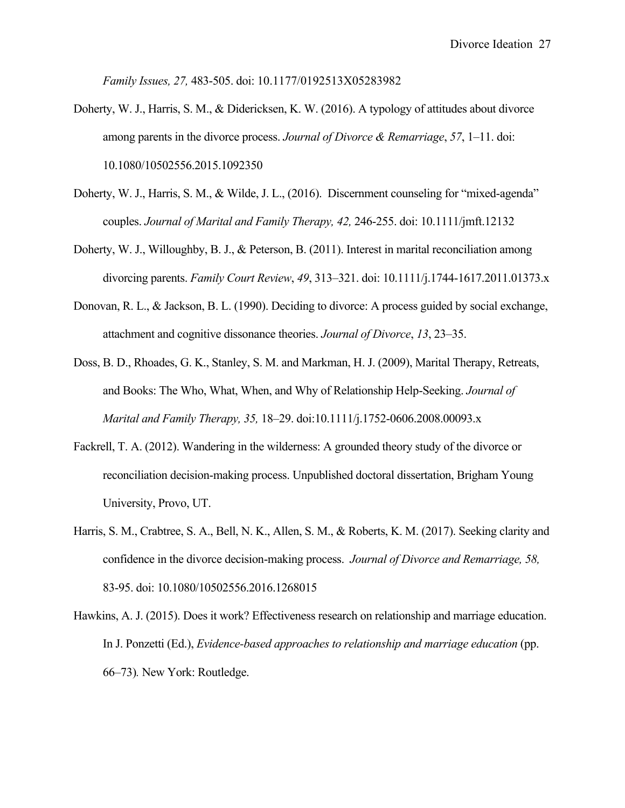*Family Issues, 27,* 483-505. doi: 10.1177/0192513X05283982

- Doherty, W. J., Harris, S. M., & Didericksen, K. W. (2016). A typology of attitudes about divorce among parents in the divorce process. *Journal of Divorce & Remarriage*, *57*, 1–11. doi: 10.1080/10502556.2015.1092350
- Doherty, W. J., Harris, S. M., & Wilde, J. L., (2016). Discernment counseling for "mixed-agenda" couples. *Journal of Marital and Family Therapy, 42,* 246-255. doi: 10.1111/jmft.12132
- Doherty, W. J., Willoughby, B. J., & Peterson, B. (2011). Interest in marital reconciliation among divorcing parents. *Family Court Review*, *49*, 313–321. doi: 10.1111/j.1744-1617.2011.01373.x
- Donovan, R. L., & Jackson, B. L. (1990). Deciding to divorce: A process guided by social exchange, attachment and cognitive dissonance theories. *Journal of Divorce*, *13*, 23–35.
- Doss, B. D., Rhoades, G. K., Stanley, S. M. and Markman, H. J. (2009), Marital Therapy, Retreats, and Books: The Who, What, When, and Why of Relationship Help-Seeking. *Journal of Marital and Family Therapy, 35,* 18–29. doi:10.1111/j.1752-0606.2008.00093.x
- Fackrell, T. A. (2012). Wandering in the wilderness: A grounded theory study of the divorce or reconciliation decision-making process. Unpublished doctoral dissertation, Brigham Young University, Provo, UT.
- Harris, S. M., Crabtree, S. A., Bell, N. K., Allen, S. M., & Roberts, K. M. (2017). Seeking clarity and confidence in the divorce decision-making process. *Journal of Divorce and Remarriage, 58,* 83-95. doi: 10.1080/10502556.2016.1268015
- Hawkins, A. J. (2015). Does it work? Effectiveness research on relationship and marriage education. In J. Ponzetti (Ed.), *Evidence-based approaches to relationship and marriage education* (pp. 66–73)*.* New York: Routledge.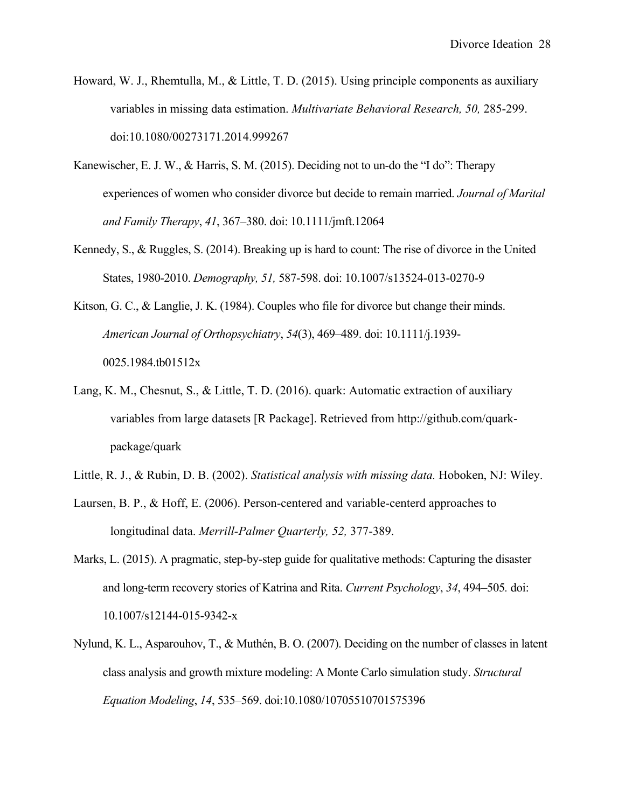- Howard, W. J., Rhemtulla, M., & Little, T. D. (2015). Using principle components as auxiliary variables in missing data estimation. *Multivariate Behavioral Research, 50,* 285-299. doi:10.1080/00273171.2014.999267
- Kanewischer, E. J. W., & Harris, S. M. (2015). Deciding not to un-do the "I do": Therapy experiences of women who consider divorce but decide to remain married. *Journal of Marital and Family Therapy*, *41*, 367–380. doi: 10.1111/jmft.12064
- Kennedy, S., & Ruggles, S. (2014). Breaking up is hard to count: The rise of divorce in the United States, 1980-2010. *Demography, 51,* 587-598. doi: 10.1007/s13524-013-0270-9
- Kitson, G. C., & Langlie, J. K. (1984). Couples who file for divorce but change their minds. *American Journal of Orthopsychiatry*, *54*(3), 469–489. doi: 10.1111/j.1939- 0025.1984.tb01512x
- Lang, K. M., Chesnut, S., & Little, T. D. (2016). quark: Automatic extraction of auxiliary variables from large datasets [R Package]. Retrieved from http://github.com/quarkpackage/quark
- Little, R. J., & Rubin, D. B. (2002). *Statistical analysis with missing data.* Hoboken, NJ: Wiley.
- Laursen, B. P., & Hoff, E. (2006). Person-centered and variable-centerd approaches to longitudinal data. *Merrill-Palmer Quarterly, 52,* 377-389.
- Marks, L. (2015). A pragmatic, step-by-step guide for qualitative methods: Capturing the disaster and long-term recovery stories of Katrina and Rita. *Current Psychology*, *34*, 494–505*.* doi: 10.1007/s12144-015-9342-x
- Nylund, K. L., Asparouhov, T., & Muthén, B. O. (2007). Deciding on the number of classes in latent class analysis and growth mixture modeling: A Monte Carlo simulation study. *Structural Equation Modeling*, *14*, 535–569. doi:10.1080/10705510701575396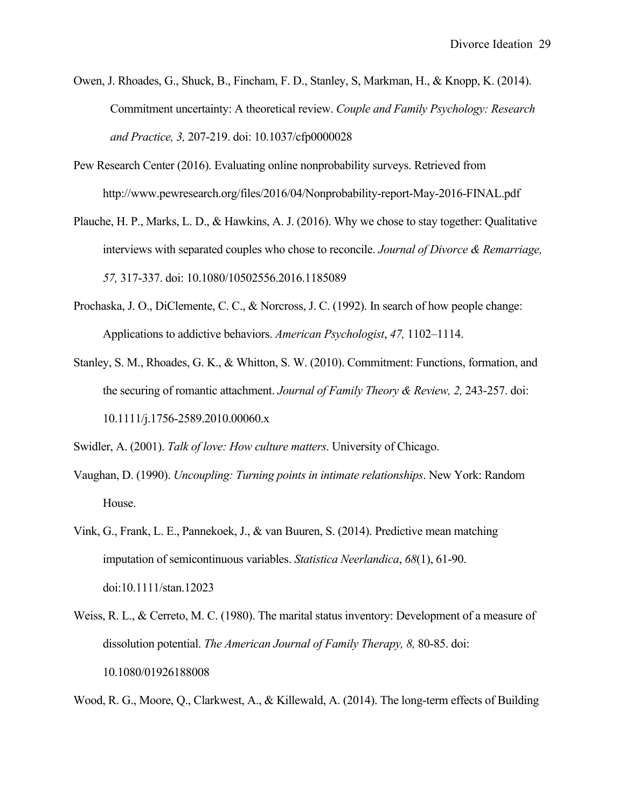- Owen, J. Rhoades, G., Shuck, B., Fincham, F. D., Stanley, S, Markman, H., & Knopp, K. (2014). Commitment uncertainty: A theoretical review. *Couple and Family Psychology: Research and Practice, 3,* 207-219. doi: 10.1037/cfp0000028
- Pew Research Center (2016). Evaluating online nonprobability surveys. Retrieved from http://www.pewresearch.org/files/2016/04/Nonprobability-report-May-2016-FINAL.pdf
- Plauche, H. P., Marks, L. D., & Hawkins, A. J. (2016). Why we chose to stay together: Qualitative interviews with separated couples who chose to reconcile. *Journal of Divorce & Remarriage, 57,* 317-337. doi: 10.1080/10502556.2016.1185089
- Prochaska, J. O., DiClemente, C. C., & Norcross, J. C. (1992). In search of how people change: Applications to addictive behaviors. *American Psychologist*, *47,* 1102–1114.
- Stanley, S. M., Rhoades, G. K., & Whitton, S. W. (2010). Commitment: Functions, formation, and the securing of romantic attachment. *Journal of Family Theory & Review, 2,* 243-257. doi: 10.1111/j.1756-2589.2010.00060.x

Swidler, A. (2001). *Talk of love: How culture matters*. University of Chicago.

- Vaughan, D. (1990). *Uncoupling: Turning points in intimate relationships*. New York: Random House.
- Vink, G., Frank, L. E., Pannekoek, J., & van Buuren, S. (2014). Predictive mean matching imputation of semicontinuous variables. *Statistica Neerlandica*, *68*(1), 61-90. doi:10.1111/stan.12023
- Weiss, R. L., & Cerreto, M. C. (1980). The marital status inventory: Development of a measure of dissolution potential. *The American Journal of Family Therapy, 8,* 80-85. doi: 10.1080/01926188008

Wood, R. G., Moore, Q., Clarkwest, A., & Killewald, A. (2014). The long-term effects of Building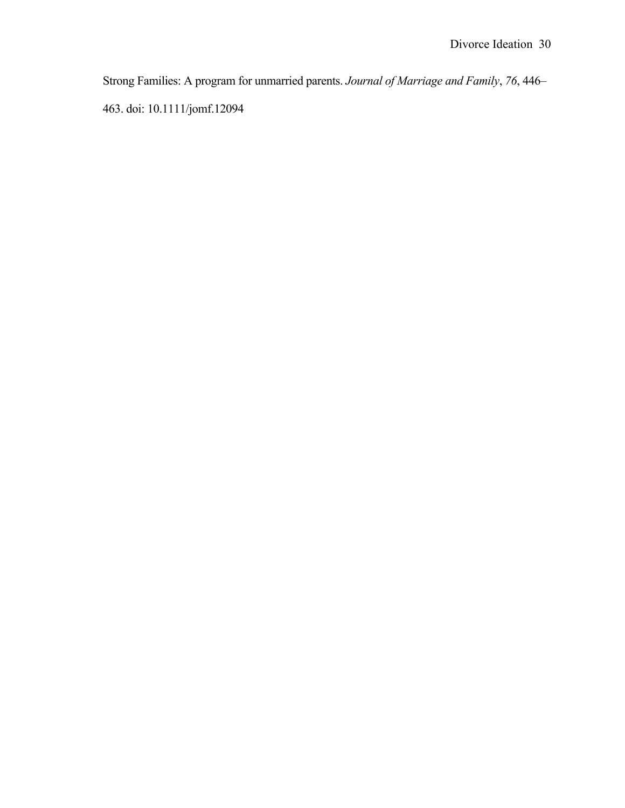Strong Families: A program for unmarried parents. *Journal of Marriage and Family*, *76*, 446–

463. doi: 10.1111/jomf.12094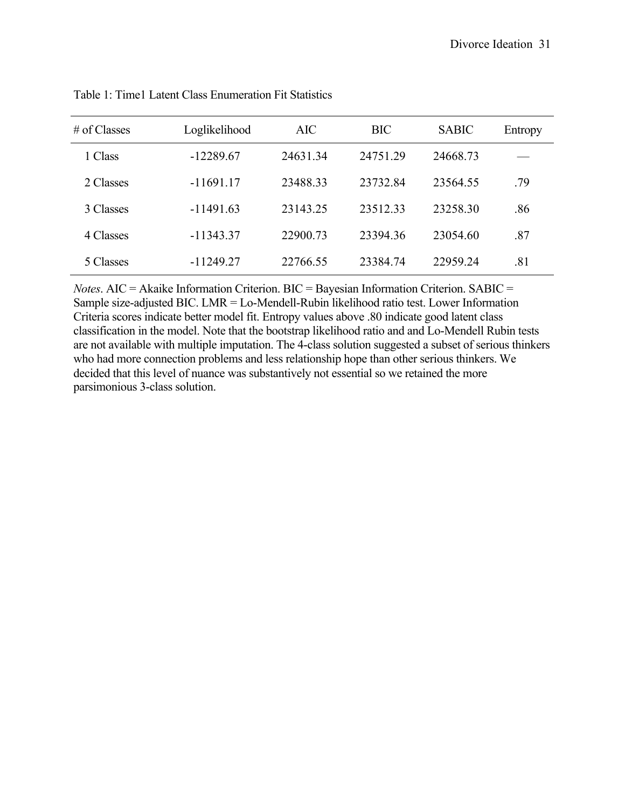| # of Classes | Loglikelihood | <b>AIC</b> | <b>BIC</b> | <b>SABIC</b> | Entropy |
|--------------|---------------|------------|------------|--------------|---------|
| 1 Class      | $-12289.67$   | 24631.34   | 24751.29   | 24668.73     |         |
| 2 Classes    | $-11691.17$   | 23488.33   | 23732.84   | 23564.55     | .79     |
| 3 Classes    | $-11491.63$   | 23143.25   | 23512.33   | 23258.30     | .86     |
| 4 Classes    | $-11343.37$   | 22900.73   | 23394.36   | 23054.60     | .87     |
| 5 Classes    | $-11249.27$   | 22766.55   | 23384.74   | 22959.24     | .81     |

Table 1: Time1 Latent Class Enumeration Fit Statistics

*Notes*. AIC = Akaike Information Criterion. BIC = Bayesian Information Criterion. SABIC = Sample size-adjusted BIC. LMR = Lo-Mendell-Rubin likelihood ratio test. Lower Information Criteria scores indicate better model fit. Entropy values above .80 indicate good latent class classification in the model. Note that the bootstrap likelihood ratio and and Lo-Mendell Rubin tests are not available with multiple imputation. The 4-class solution suggested a subset of serious thinkers who had more connection problems and less relationship hope than other serious thinkers. We decided that this level of nuance was substantively not essential so we retained the more parsimonious 3-class solution.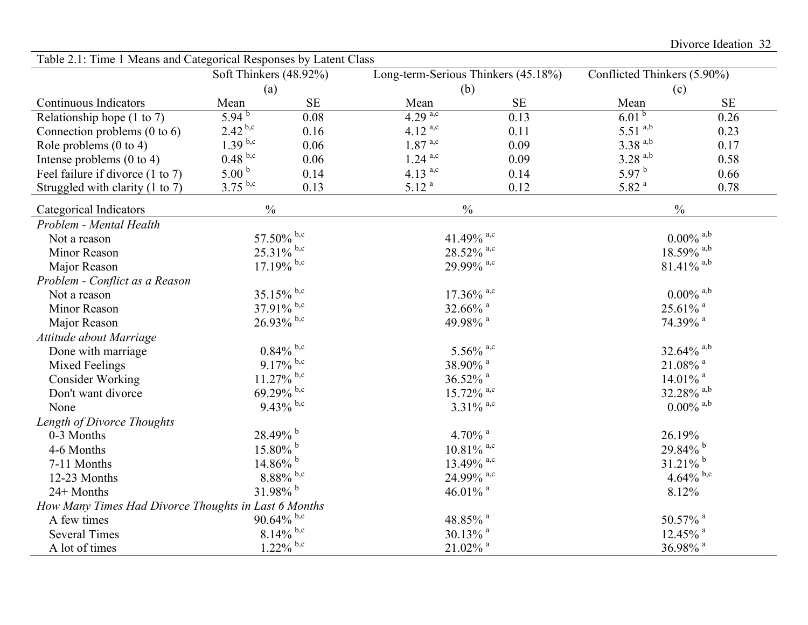| Table 2.1: Time 1 Means and Categorical Responses by Latent Class |                        |               |                                     |                         |                             |                          |  |
|-------------------------------------------------------------------|------------------------|---------------|-------------------------------------|-------------------------|-----------------------------|--------------------------|--|
|                                                                   | Soft Thinkers (48.92%) |               | Long-term-Serious Thinkers (45.18%) |                         | Conflicted Thinkers (5.90%) |                          |  |
|                                                                   | (a)                    |               | (b)                                 |                         | (c)                         |                          |  |
| Continuous Indicators                                             | Mean                   | <b>SE</b>     | Mean                                | <b>SE</b>               | Mean                        | $\rm SE$                 |  |
| Relationship hope (1 to 7)                                        | $5.94^{b}$             | 0.08          | $4.29^{a,c}$                        | 0.13                    | $6.01^{b}$                  | 0.26                     |  |
| Connection problems $(0 \text{ to } 6)$                           | $2.42^{b,c}$           | 0.16          | 4.12 $a,c$                          | 0.11                    | $5.51^{a,b}$                | 0.23                     |  |
| Role problems $(0 \text{ to } 4)$                                 | $1.39^{b,c}$           | 0.06          | $1.87^{a,c}$                        | 0.09                    | $3.38^{a,b}$                | 0.17                     |  |
| Intense problems $(0 \text{ to } 4)$                              | $0.48$ b,c             | 0.06          | $1.24$ <sup>a,c</sup>               | 0.09                    | $3.28^{a,b}$                | 0.58                     |  |
| Feel failure if divorce (1 to 7)                                  | $5.00^{b}$             | 0.14          | 4.13 $a, c$                         | 0.14                    | 5.97 $^{\rm b}$             | 0.66                     |  |
| Struggled with clarity (1 to 7)                                   | $3.75^{b,c}$           | 0.13          | 5.12 <sup>a</sup>                   | 0.12                    | 5.82 <sup>a</sup>           | 0.78                     |  |
| Categorical Indicators                                            | $\frac{0}{0}$          |               | $\frac{0}{0}$                       |                         | $\frac{0}{0}$               |                          |  |
| Problem - Mental Health                                           |                        |               |                                     |                         |                             |                          |  |
| Not a reason                                                      |                        | 57.50% b,c    | 41.49% a,c                          |                         | $0.00\%$ <sup>a,b</sup>     |                          |  |
| Minor Reason                                                      |                        | 25.31% b,c    | 28.52% a,c                          |                         | $18.59\%$ <sup>a,b</sup>    |                          |  |
| Major Reason                                                      | $17.19\%$ b,c          |               | 29.99% a,c                          |                         | $81.41\%$ <sup>a,b</sup>    |                          |  |
| Problem - Conflict as a Reason                                    |                        |               |                                     |                         |                             |                          |  |
| Not a reason                                                      | $35.15\%$ b,c          |               | $17.36\%$ <sup>a,c</sup>            |                         | $0.00\%$ <sup>a,b</sup>     |                          |  |
| Minor Reason                                                      | $37.91\%$ b,c          |               | $32.66\%$ <sup>a</sup>              |                         | $25.61\%$ <sup>a</sup>      |                          |  |
| Major Reason                                                      | $26.93\%$ b,c          |               | 49.98% <sup>a</sup>                 |                         | 74.39% <sup>a</sup>         |                          |  |
| Attitude about Marriage                                           |                        |               |                                     |                         |                             |                          |  |
| Done with marriage                                                | $0.84\%$ b,c           |               |                                     | $5.56\%$ <sup>a,c</sup> |                             | $32.64\%$ <sup>a,b</sup> |  |
| Mixed Feelings                                                    | $9.17\%$ b,c           |               | 38.90% <sup>a</sup>                 |                         | $21.08\%$ <sup>a</sup>      |                          |  |
| <b>Consider Working</b>                                           | $11.27\%$ b,c          |               | $36.52\%$ <sup>a</sup>              |                         | $14.01\%$ <sup>a</sup>      |                          |  |
| Don't want divorce                                                |                        | 69.29% b,c    | $15.72\%$ <sup>a,c</sup>            |                         | $32.28\%$ <sup>a,b</sup>    |                          |  |
| None                                                              |                        | $9.43\%$ b,c  |                                     | $3.31\%$ <sup>a,c</sup> |                             | $0.00\%$ <sup>a,b</sup>  |  |
| Length of Divorce Thoughts                                        |                        |               |                                     |                         |                             |                          |  |
| 0-3 Months                                                        | $28.49\%$ <sup>b</sup> |               | 4.70% $^{\circ}$                    |                         | 26.19%                      |                          |  |
| 4-6 Months                                                        | $15.80\%$ <sup>b</sup> |               | $10.81\%$ <sup>a,c</sup>            |                         | $29.84\%$ <sup>b</sup>      |                          |  |
| 7-11 Months                                                       | $14.86\%$ <sup>b</sup> |               | 13.49% a,c                          |                         | $31.21\%$ <sup>b</sup>      |                          |  |
| 12-23 Months                                                      | $8.88\%$ b,c           |               | 24.99% a,c                          |                         | 4.64% $b, c$                |                          |  |
| 24+ Months                                                        | $31.98\%$ b            |               | 46.01% $^a$                         |                         | 8.12%                       |                          |  |
| How Many Times Had Divorce Thoughts in Last 6 Months              |                        |               |                                     |                         |                             |                          |  |
| A few times                                                       |                        | $90.64\%$ b,c | 48.85% <sup>a</sup>                 |                         | 50.57% <sup>a</sup>         |                          |  |
| <b>Several Times</b>                                              |                        | $8.14\%$ b,c  | $30.13\%$ <sup>a</sup>              |                         | $12.45\%$ <sup>a</sup>      |                          |  |
| A lot of times                                                    | $1.22\%$ b,c           |               | $21.02\%$ <sup>a</sup>              |                         | 36.98% <sup>a</sup>         |                          |  |

Divorce Ideation 32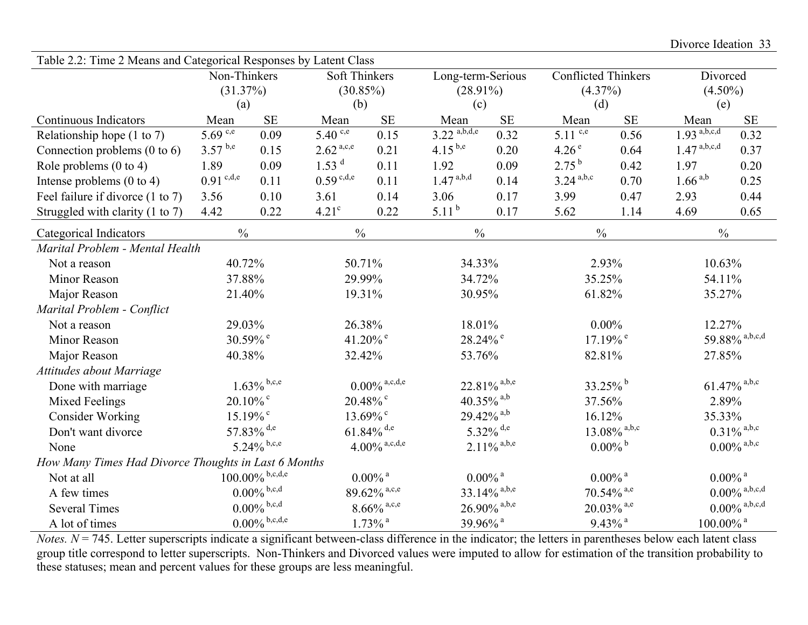| Table 2.2: Time 2 Means and Categorical Responses by Latent Class |                                           |                                             |                             |                                              |                            |                            |                            |                        |                              |                            |
|-------------------------------------------------------------------|-------------------------------------------|---------------------------------------------|-----------------------------|----------------------------------------------|----------------------------|----------------------------|----------------------------|------------------------|------------------------------|----------------------------|
|                                                                   | Non-Thinkers                              |                                             | <b>Soft Thinkers</b>        |                                              | Long-term-Serious          |                            | <b>Conflicted Thinkers</b> |                        | Divorced                     |                            |
|                                                                   | (31.37%)                                  |                                             | $(30.85\%)$                 |                                              | $(28.91\%)$                |                            | $(4.37\%)$                 |                        | $(4.50\%)$                   |                            |
|                                                                   | (a)                                       |                                             |                             | (b)<br>(c)                                   |                            | (d)                        |                            | (e)                    |                              |                            |
| Continuous Indicators                                             | Mean                                      | <b>SE</b>                                   | Mean                        | <b>SE</b>                                    | Mean                       | <b>SE</b>                  | Mean                       | <b>SE</b>              | Mean                         | <b>SE</b>                  |
| Relationship hope $(1 \text{ to } 7)$                             | $5.69^{\overline{c,e}}$                   | 0.09                                        | 5.40 $^{\rm c,e}$           | 0.15                                         | $3.22^{a,b,d,e}$           | 0.32                       | $5.11^{c,e}$               | 0.56                   | $1.93^{a,b,c,d}$             | 0.32                       |
| Connection problems $(0 \text{ to } 6)$                           | $3.57^{b,e}$                              | 0.15                                        | $2.62^{a,c,e}$              | 0.21                                         | $4.15^{b,e}$               | 0.20                       | 4.26 <sup>e</sup>          | 0.64                   | $1.47^{a,b,c,d}$             | 0.37                       |
| Role problems (0 to 4)                                            | 1.89                                      | 0.09                                        | 1.53 <sup>d</sup>           | 0.11                                         | 1.92                       | 0.09                       | $2.75^{b}$                 | 0.42                   | 1.97                         | 0.20                       |
| Intense problems $(0 \text{ to } 4)$                              | $0.91^{\text{ c,d,e}}$                    | 0.11                                        | $0.59^{\text{ c,d,e}}$      | 0.11                                         | $1.47^{a,b,d}$             | 0.14                       | $3.24^{a,b,c}$             | 0.70                   | $1.66^{a,b}$                 | 0.25                       |
| Feel failure if divorce (1 to 7)                                  | 3.56                                      | 0.10                                        | 3.61                        | 0.14                                         | 3.06                       | 0.17                       | 3.99                       | 0.47                   | 2.93                         | 0.44                       |
| Struggled with clarity (1 to 7)                                   | 4.42                                      | 0.22                                        | 4.21 <sup>c</sup>           | 0.22                                         | $5.11^{b}$                 | 0.17                       | 5.62                       | 1.14                   | 4.69                         | 0.65                       |
| Categorical Indicators                                            | $\frac{0}{0}$<br>$\frac{0}{0}$            |                                             | $\frac{0}{0}$               |                                              | $\frac{0}{0}$              |                            | $\frac{0}{0}$              |                        |                              |                            |
| Marital Problem - Mental Health                                   |                                           |                                             |                             |                                              |                            |                            |                            |                        |                              |                            |
| Not a reason                                                      | 40.72%                                    |                                             | 50.71%                      |                                              | 34.33%                     |                            | 2.93%                      |                        | 10.63%                       |                            |
| Minor Reason                                                      | 37.88%                                    |                                             | 29.99%                      |                                              | 34.72%                     |                            | 35.25%                     |                        | 54.11%                       |                            |
| Major Reason                                                      | 21.40%                                    |                                             | 19.31%                      |                                              | 30.95%                     |                            | 61.82%                     |                        | 35.27%                       |                            |
| Marital Problem - Conflict                                        |                                           |                                             |                             |                                              |                            |                            |                            |                        |                              |                            |
| Not a reason                                                      | 29.03%                                    |                                             | 26.38%                      |                                              | 18.01%                     |                            | $0.00\%$                   |                        | 12.27%                       |                            |
| Minor Reason                                                      |                                           | $30.59\%$ <sup>e</sup>                      | 41.20% $^{\circ}$           |                                              | 28.24% <sup>e</sup>        |                            | $17.19\%$ <sup>e</sup>     |                        | $59.88\%$ <sup>a,b,c,d</sup> |                            |
| Major Reason                                                      | 40.38%                                    |                                             | 32.42%                      |                                              | 53.76%                     |                            | 82.81%                     |                        | 27.85%                       |                            |
| Attitudes about Marriage                                          |                                           |                                             |                             |                                              |                            |                            |                            |                        |                              |                            |
| Done with marriage                                                |                                           | $1.63\%$ <sup>b,c,e</sup>                   |                             | $0.00\%$ a,c,d,e                             |                            | $22.81\%$ <sup>a,b,e</sup> |                            | $33.25\%$ <sup>b</sup> |                              | $61.47\%$ <sup>a,b,c</sup> |
| Mixed Feelings                                                    | $20.10\%$                                 |                                             |                             | 20.48% <sup>c</sup>                          | $40.35\%$ <sup>a,b</sup>   |                            | 37.56%                     |                        | 2.89%                        |                            |
| <b>Consider Working</b>                                           |                                           | $15.19\%$                                   | 13.69% <sup>c</sup>         |                                              | 29.42% <sup>a,b</sup>      |                            | 16.12%                     |                        | 35.33%                       |                            |
| Don't want divorce                                                |                                           | $57.83\%$ <sup>d,e</sup>                    | $61.84\%$ <sup>d,e</sup>    |                                              | $5.32\%$ <sup>d,e</sup>    |                            | $13.08\%$ <sup>a,b,c</sup> |                        | $0.31\%$ <sup>a,b,c</sup>    |                            |
| None                                                              |                                           | $5.24\%$ <sup>b,c,e</sup>                   | $4.00\%$ <sup>a,c,d,e</sup> |                                              | $2.11\%$ <sup>a,b,e</sup>  |                            | $0.00\%$ <sup>b</sup>      |                        | $0.00\%$ <sup>a,b,c</sup>    |                            |
| How Many Times Had Divorce Thoughts in Last 6 Months              |                                           |                                             |                             |                                              |                            |                            |                            |                        |                              |                            |
| Not at all                                                        |                                           | $100.00\%$ b,c,d,e                          | $0.00\%$ <sup>a</sup>       |                                              | $0.00\%$ <sup>a</sup>      |                            | $0.00\%$ <sup>a</sup>      |                        | $0.00\%$ $^{\rm a}$          |                            |
| A few times                                                       |                                           | $0.00\%$ $^{\mathrm{b,c,d}}$                |                             | $89.62\%$ <sup>a,c,e</sup>                   | $33.14\%$ <sup>a,b,e</sup> |                            | $70.54\%$ <sup>a,e</sup>   |                        | $0.00\%$ <sup>a,b,c,d</sup>  |                            |
| <b>Several Times</b>                                              |                                           | $0.00\%$ b,c,d<br>$8.66\%$ <sup>a,c,e</sup> |                             |                                              | $26.90\%$ <sup>a,b,e</sup> |                            | $20.03\%$ <sup>a,e</sup>   |                        | $0.00\%$ $\sp{a,b,c,d}$      |                            |
| A lot of times                                                    | $0.00\%$ b,c,d,e<br>$1.73\%$ <sup>a</sup> |                                             |                             | 39.96% <sup>a</sup><br>$9.43\%$ <sup>a</sup> |                            | $100.00\%$ <sup>a</sup>    |                            |                        |                              |                            |

Divorce Ideation 33

*Notes. N* = 745. Letter superscripts indicate a significant between-class difference in the indicator; the letters in parentheses below each latent class group title correspond to letter superscripts. Non-Thinkers and Divorced values were imputed to allow for estimation of the transition probability to these statuses; mean and percent values for these groups are less meaningful.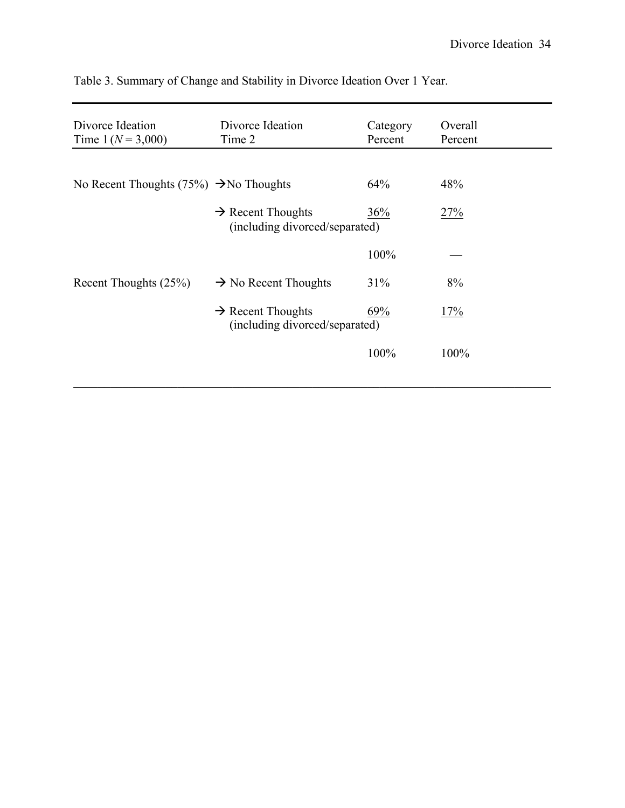| Divorce Ideation<br>Time $1 (N = 3,000)$           | Divorce Ideation<br>Time 2                                      | Category<br>Percent | Overall<br>Percent |
|----------------------------------------------------|-----------------------------------------------------------------|---------------------|--------------------|
|                                                    |                                                                 |                     |                    |
| No Recent Thoughts (75%) $\rightarrow$ No Thoughts |                                                                 | 64%                 | 48%                |
|                                                    | $\rightarrow$ Recent Thoughts<br>(including divorced/separated) | 36%                 | 27%                |
|                                                    |                                                                 | 100%                |                    |
| Recent Thoughts (25%)                              | $\rightarrow$ No Recent Thoughts                                | 31%                 | 8%                 |
|                                                    | $\rightarrow$ Recent Thoughts<br>(including divorced/separated) | 69%                 | 17%                |
|                                                    |                                                                 | 100%                | 100%               |
|                                                    |                                                                 |                     |                    |

Table 3. Summary of Change and Stability in Divorce Ideation Over 1 Year.